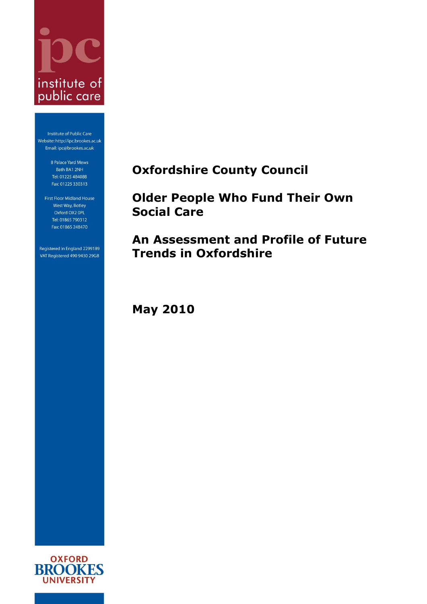

Institute of Public Care Website: http://ipc.brookes.ac.uk Email: ipc@brookes.ac.uk

> 8 Palace Yard Mews Bath BA1 2NH Tel: 01225 484088 Fax: 01225 330313

First Floor Midland House West Way, Botley Oxford OX2 OPL Tel: 01865 790312 Fax: 01865 248470

Registered in England 2299189 VAT Registered 490 9430 29GB <span id="page-0-0"></span>**Oxfordshire County Council**

<span id="page-0-1"></span>**Older People Who Fund Their Own Social Care**

**An Assessment and Profile of Future Trends in Oxfordshire**

**May 2010**

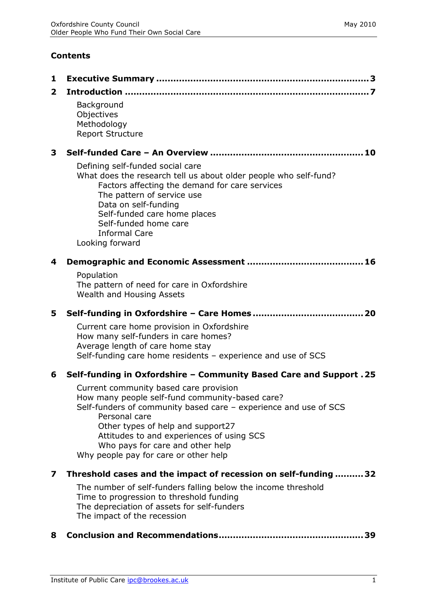# **Contents**

| $\overline{2}$ |                                                                                                                                                                                                                                                                                                                                               |
|----------------|-----------------------------------------------------------------------------------------------------------------------------------------------------------------------------------------------------------------------------------------------------------------------------------------------------------------------------------------------|
|                | Background<br>Objectives<br>Methodology<br><b>Report Structure</b>                                                                                                                                                                                                                                                                            |
| 3              |                                                                                                                                                                                                                                                                                                                                               |
|                | Defining self-funded social care<br>What does the research tell us about older people who self-fund?<br>Factors affecting the demand for care services<br>The pattern of service use<br>Data on self-funding<br>Self-funded care home places<br>Self-funded home care<br><b>Informal Care</b><br>Looking forward                              |
| 4              |                                                                                                                                                                                                                                                                                                                                               |
|                | Population<br>The pattern of need for care in Oxfordshire<br>Wealth and Housing Assets                                                                                                                                                                                                                                                        |
| 5              |                                                                                                                                                                                                                                                                                                                                               |
|                | Current care home provision in Oxfordshire<br>How many self-funders in care homes?<br>Average length of care home stay<br>Self-funding care home residents - experience and use of SCS                                                                                                                                                        |
| 6              | Self-funding in Oxfordshire - Community Based Care and Support . 25                                                                                                                                                                                                                                                                           |
|                |                                                                                                                                                                                                                                                                                                                                               |
|                | Current community based care provision<br>How many people self-fund community-based care?<br>Self-funders of community based care - experience and use of SCS<br>Personal care<br>Other types of help and support27<br>Attitudes to and experiences of using SCS<br>Who pays for care and other help<br>Why people pay for care or other help |
|                |                                                                                                                                                                                                                                                                                                                                               |
| 7              | Threshold cases and the impact of recession on self-funding  32<br>The number of self-funders falling below the income threshold<br>Time to progression to threshold funding<br>The depreciation of assets for self-funders<br>The impact of the recession                                                                                    |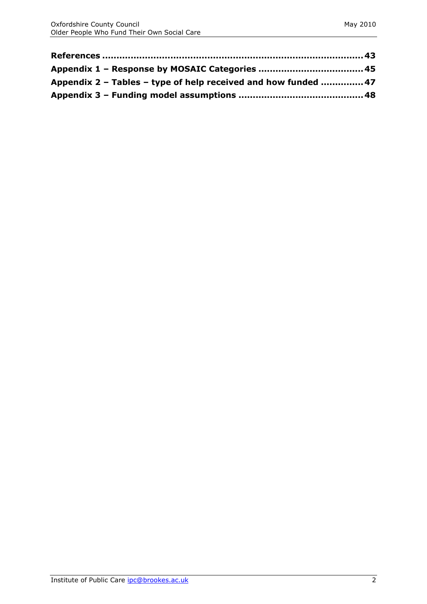| Appendix 2 – Tables – type of help received and how funded  47 |  |
|----------------------------------------------------------------|--|
|                                                                |  |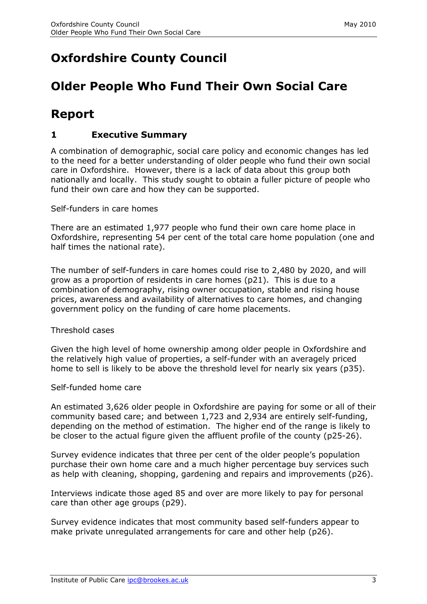# **[Oxfordshire County Council](#page-0-0)**

# **[Older People Who Fund Their Own Social Care](#page-0-1)**

# **Report**

# <span id="page-3-0"></span>**1 Executive Summary**

A combination of demographic, social care policy and economic changes has led to the need for a better understanding of older people who fund their own social care in Oxfordshire. However, there is a lack of data about this group both nationally and locally. This study sought to obtain a fuller picture of people who fund their own care and how they can be supported.

Self-funders in care homes

There are an estimated 1,977 people who fund their own care home place in Oxfordshire, representing 54 per cent of the total care home population (one and half times the national rate).

The number of self-funders in care homes could rise to 2,480 by 2020, and will grow as a proportion of residents in care homes (p21). This is due to a combination of demography, rising owner occupation, stable and rising house prices, awareness and availability of alternatives to care homes, and changing government policy on the funding of care home placements.

Threshold cases

Given the high level of home ownership among older people in Oxfordshire and the relatively high value of properties, a self-funder with an averagely priced home to sell is likely to be above the threshold level for nearly six years (p35).

Self-funded home care

An estimated 3,626 older people in Oxfordshire are paying for some or all of their community based care; and between 1,723 and 2,934 are entirely self-funding, depending on the method of estimation. The higher end of the range is likely to be closer to the actual figure given the affluent profile of the county (p25-26).

Survey evidence indicates that three per cent of the older people's population purchase their own home care and a much higher percentage buy services such as help with cleaning, shopping, gardening and repairs and improvements (p26).

Interviews indicate those aged 85 and over are more likely to pay for personal care than other age groups (p29).

Survey evidence indicates that most community based self-funders appear to make private unregulated arrangements for care and other help (p26).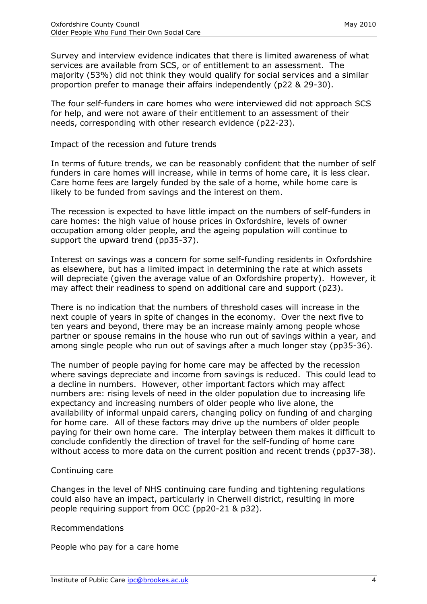Survey and interview evidence indicates that there is limited awareness of what services are available from SCS, or of entitlement to an assessment. The majority (53%) did not think they would qualify for social services and a similar proportion prefer to manage their affairs independently (p22 & 29-30).

The four self-funders in care homes who were interviewed did not approach SCS for help, and were not aware of their entitlement to an assessment of their needs, corresponding with other research evidence (p22-23).

Impact of the recession and future trends

In terms of future trends, we can be reasonably confident that the number of self funders in care homes will increase, while in terms of home care, it is less clear. Care home fees are largely funded by the sale of a home, while home care is likely to be funded from savings and the interest on them.

The recession is expected to have little impact on the numbers of self-funders in care homes: the high value of house prices in Oxfordshire, levels of owner occupation among older people, and the ageing population will continue to support the upward trend (pp35-37).

Interest on savings was a concern for some self-funding residents in Oxfordshire as elsewhere, but has a limited impact in determining the rate at which assets will depreciate (given the average value of an Oxfordshire property). However, it may affect their readiness to spend on additional care and support (p23).

There is no indication that the numbers of threshold cases will increase in the next couple of years in spite of changes in the economy. Over the next five to ten years and beyond, there may be an increase mainly among people whose partner or spouse remains in the house who run out of savings within a year, and among single people who run out of savings after a much longer stay (pp35-36).

The number of people paying for home care may be affected by the recession where savings depreciate and income from savings is reduced. This could lead to a decline in numbers. However, other important factors which may affect numbers are: rising levels of need in the older population due to increasing life expectancy and increasing numbers of older people who live alone, the availability of informal unpaid carers, changing policy on funding of and charging for home care. All of these factors may drive up the numbers of older people paying for their own home care. The interplay between them makes it difficult to conclude confidently the direction of travel for the self-funding of home care without access to more data on the current position and recent trends (pp37-38).

#### Continuing care

Changes in the level of NHS continuing care funding and tightening regulations could also have an impact, particularly in Cherwell district, resulting in more people requiring support from OCC (pp20-21 & p32).

#### Recommendations

People who pay for a care home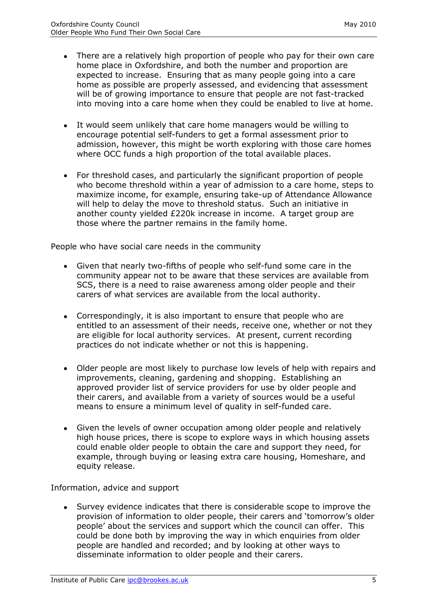- There are a relatively high proportion of people who pay for their own care home place in Oxfordshire, and both the number and proportion are expected to increase. Ensuring that as many people going into a care home as possible are properly assessed, and evidencing that assessment will be of growing importance to ensure that people are not fast-tracked into moving into a care home when they could be enabled to live at home.
- It would seem unlikely that care home managers would be willing to encourage potential self-funders to get a formal assessment prior to admission, however, this might be worth exploring with those care homes where OCC funds a high proportion of the total available places.
- For threshold cases, and particularly the significant proportion of people who become threshold within a year of admission to a care home, steps to maximize income, for example, ensuring take-up of Attendance Allowance will help to delay the move to threshold status. Such an initiative in another county yielded £220k increase in income. A target group are those where the partner remains in the family home.

People who have social care needs in the community

- Given that nearly two-fifths of people who self-fund some care in the community appear not to be aware that these services are available from SCS, there is a need to raise awareness among older people and their carers of what services are available from the local authority.
- Correspondingly, it is also important to ensure that people who are entitled to an assessment of their needs, receive one, whether or not they are eligible for local authority services. At present, current recording practices do not indicate whether or not this is happening.
- Older people are most likely to purchase low levels of help with repairs and improvements, cleaning, gardening and shopping. Establishing an approved provider list of service providers for use by older people and their carers, and available from a variety of sources would be a useful means to ensure a minimum level of quality in self-funded care.
- Given the levels of owner occupation among older people and relatively high house prices, there is scope to explore ways in which housing assets could enable older people to obtain the care and support they need, for example, through buying or leasing extra care housing, Homeshare, and equity release.

Information, advice and support

Survey evidence indicates that there is considerable scope to improve the provision of information to older people, their carers and 'tomorrow's older people' about the services and support which the council can offer. This could be done both by improving the way in which enquiries from older people are handled and recorded; and by looking at other ways to disseminate information to older people and their carers.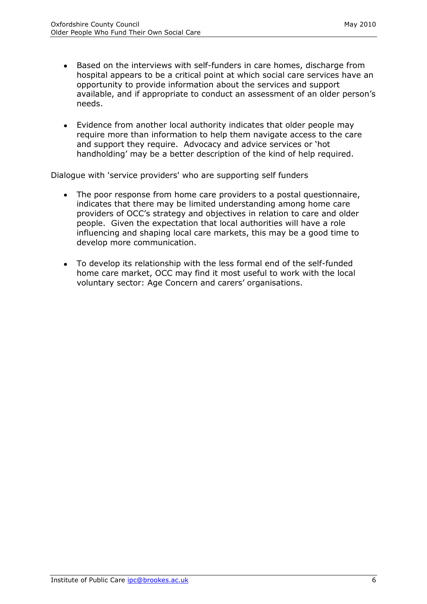- Based on the interviews with self-funders in care homes, discharge from hospital appears to be a critical point at which social care services have an opportunity to provide information about the services and support available, and if appropriate to conduct an assessment of an older person's needs.
- Evidence from another local authority indicates that older people may require more than information to help them navigate access to the care and support they require. Advocacy and advice services or 'hot handholding' may be a better description of the kind of help required.

Dialogue with 'service providers' who are supporting self funders

- The poor response from home care providers to a postal questionnaire, indicates that there may be limited understanding among home care providers of OCC's strategy and objectives in relation to care and older people. Given the expectation that local authorities will have a role influencing and shaping local care markets, this may be a good time to develop more communication.
- To develop its relationship with the less formal end of the self-funded home care market, OCC may find it most useful to work with the local voluntary sector: Age Concern and carers' organisations.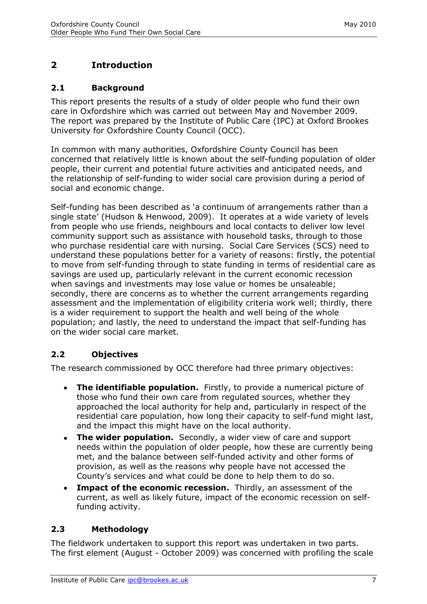# <span id="page-7-0"></span>**2 Introduction**

## <span id="page-7-1"></span>**2.1 Background**

This report presents the results of a study of older people who fund their own care in Oxfordshire which was carried out between May and November 2009. The report was prepared by the Institute of Public Care (IPC) at Oxford Brookes University for Oxfordshire County Council (OCC).

In common with many authorities, Oxfordshire County Council has been concerned that relatively little is known about the self-funding population of older people, their current and potential future activities and anticipated needs, and the relationship of self-funding to wider social care provision during a period of social and economic change.

Self-funding has been described as 'a continuum of arrangements rather than a single state' (Hudson & Henwood, 2009). It operates at a wide variety of levels from people who use friends, neighbours and local contacts to deliver low level community support such as assistance with household tasks, through to those who purchase residential care with nursing. Social Care Services (SCS) need to understand these populations better for a variety of reasons: firstly, the potential to move from self-funding through to state funding in terms of residential care as savings are used up, particularly relevant in the current economic recession when savings and investments may lose value or homes be unsaleable; secondly, there are concerns as to whether the current arrangements regarding assessment and the implementation of eligibility criteria work well; thirdly, there is a wider requirement to support the health and well being of the whole population; and lastly, the need to understand the impact that self-funding has on the wider social care market.

# <span id="page-7-2"></span>**2.2 Objectives**

The research commissioned by OCC therefore had three primary objectives:

- **The identifiable population.** Firstly, to provide a numerical picture of those who fund their own care from regulated sources, whether they approached the local authority for help and, particularly in respect of the residential care population, how long their capacity to self-fund might last, and the impact this might have on the local authority.
- **The wider population.** Secondly, a wider view of care and support needs within the population of older people, how these are currently being met, and the balance between self-funded activity and other forms of provision, as well as the reasons why people have not accessed the County's services and what could be done to help them to do so.
- **Impact of the economic recession.** Thirdly, an assessment of the current, as well as likely future, impact of the economic recession on selffunding activity.

## <span id="page-7-3"></span>**2.3 Methodology**

The fieldwork undertaken to support this report was undertaken in two parts. The first element (August - October 2009) was concerned with profiling the scale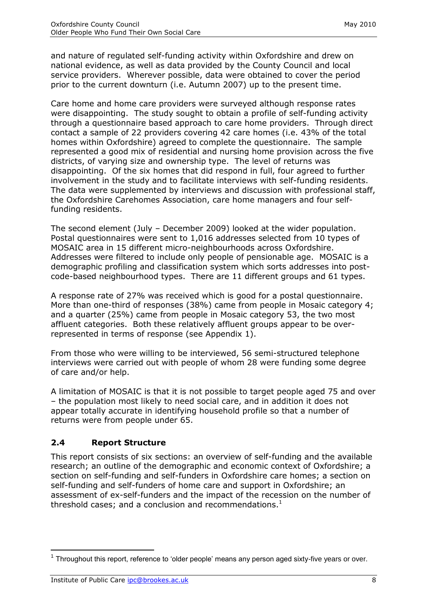and nature of regulated self-funding activity within Oxfordshire and drew on national evidence, as well as data provided by the County Council and local service providers. Wherever possible, data were obtained to cover the period prior to the current downturn (i.e. Autumn 2007) up to the present time.

Care home and home care providers were surveyed although response rates were disappointing. The study sought to obtain a profile of self-funding activity through a questionnaire based approach to care home providers. Through direct contact a sample of 22 providers covering 42 care homes (i.e. 43% of the total homes within Oxfordshire) agreed to complete the questionnaire. The sample represented a good mix of residential and nursing home provision across the five districts, of varying size and ownership type. The level of returns was disappointing. Of the six homes that did respond in full, four agreed to further involvement in the study and to facilitate interviews with self-funding residents. The data were supplemented by interviews and discussion with professional staff, the Oxfordshire Carehomes Association, care home managers and four selffunding residents.

The second element (July – December 2009) looked at the wider population. Postal questionnaires were sent to 1,016 addresses selected from 10 types of MOSAIC area in 15 different micro-neighbourhoods across Oxfordshire. Addresses were filtered to include only people of pensionable age. MOSAIC is a demographic profiling and classification system which sorts addresses into postcode-based neighbourhood types. There are 11 different groups and 61 types.

A response rate of 27% was received which is good for a postal questionnaire. More than one-third of responses (38%) came from people in Mosaic category 4; and a quarter (25%) came from people in Mosaic category 53, the two most affluent categories. Both these relatively affluent groups appear to be overrepresented in terms of response (see Appendix 1).

From those who were willing to be interviewed, 56 semi-structured telephone interviews were carried out with people of whom 28 were funding some degree of care and/or help.

A limitation of MOSAIC is that it is not possible to target people aged 75 and over – the population most likely to need social care, and in addition it does not appear totally accurate in identifying household profile so that a number of returns were from people under 65.

## <span id="page-8-0"></span>**2.4 Report Structure**

This report consists of six sections: an overview of self-funding and the available research; an outline of the demographic and economic context of Oxfordshire; a section on self-funding and self-funders in Oxfordshire care homes; a section on self-funding and self-funders of home care and support in Oxfordshire; an assessment of ex-self-funders and the impact of the recession on the number of threshold cases; and a conclusion and recommendations.<sup>1</sup>

-

 $1$  Throughout this report, reference to 'older people' means any person aged sixty-five years or over.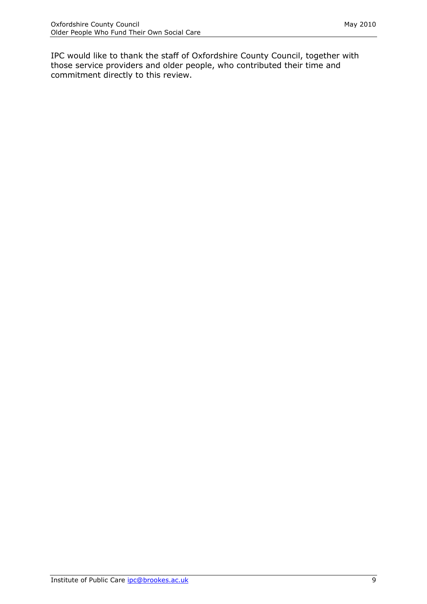IPC would like to thank the staff of Oxfordshire County Council, together with those service providers and older people, who contributed their time and commitment directly to this review.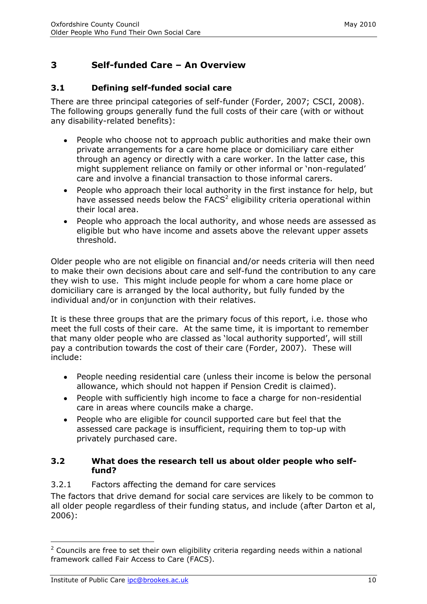# <span id="page-10-0"></span>**3 Self-funded Care – An Overview**

## <span id="page-10-1"></span>**3.1 Defining self-funded social care**

There are three principal categories of self-funder (Forder, 2007; CSCI, 2008). The following groups generally fund the full costs of their care (with or without any disability-related benefits):

- People who choose not to approach public authorities and make their own private arrangements for a care home place or domiciliary care either through an agency or directly with a care worker. In the latter case, this might supplement reliance on family or other informal or 'non-regulated' care and involve a financial transaction to those informal carers.
- People who approach their local authority in the first instance for help, but have assessed needs below the  $FACS<sup>2</sup>$  eligibility criteria operational within their local area.
- People who approach the local authority, and whose needs are assessed as eligible but who have income and assets above the relevant upper assets threshold.

Older people who are not eligible on financial and/or needs criteria will then need to make their own decisions about care and self-fund the contribution to any care they wish to use. This might include people for whom a care home place or domiciliary care is arranged by the local authority, but fully funded by the individual and/or in conjunction with their relatives.

It is these three groups that are the primary focus of this report, i.e. those who meet the full costs of their care. At the same time, it is important to remember that many older people who are classed as 'local authority supported', will still pay a contribution towards the cost of their care (Forder, 2007). These will include:

- People needing residential care (unless their income is below the personal allowance, which should not happen if Pension Credit is claimed).
- People with sufficiently high income to face a charge for non-residential care in areas where councils make a charge.
- People who are eligible for council supported care but feel that the assessed care package is insufficient, requiring them to top-up with privately purchased care.

#### <span id="page-10-2"></span>**3.2 What does the research tell us about older people who selffund?**

## <span id="page-10-3"></span>3.2.1 Factors affecting the demand for care services

The factors that drive demand for social care services are likely to be common to all older people regardless of their funding status, and include (after Darton et al, 2006):

-

 $2$  Councils are free to set their own eligibility criteria regarding needs within a national framework called Fair Access to Care (FACS).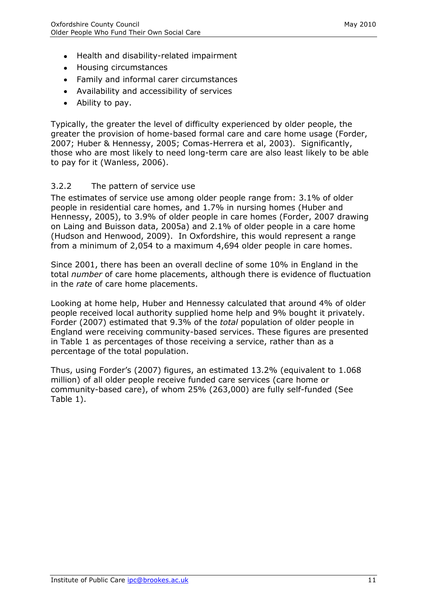- Health and disability-related impairment
- Housing circumstances
- Family and informal carer circumstances
- Availability and accessibility of services
- Ability to pay.

Typically, the greater the level of difficulty experienced by older people, the greater the provision of home-based formal care and care home usage (Forder, 2007; Huber & Hennessy, 2005; Comas-Herrera et al, 2003). Significantly, those who are most likely to need long-term care are also least likely to be able to pay for it (Wanless, 2006).

#### <span id="page-11-0"></span>3.2.2 The pattern of service use

The estimates of service use among older people range from: 3.1% of older people in residential care homes, and 1.7% in nursing homes (Huber and Hennessy, 2005), to 3.9% of older people in care homes (Forder, 2007 drawing on Laing and Buisson data, 2005a) and 2.1% of older people in a care home (Hudson and Henwood, 2009). In Oxfordshire, this would represent a range from a minimum of 2,054 to a maximum 4,694 older people in care homes.

Since 2001, there has been an overall decline of some 10% in England in the total *number* of care home placements, although there is evidence of fluctuation in the *rate* of care home placements.

Looking at home help, Huber and Hennessy calculated that around 4% of older people received local authority supplied home help and 9% bought it privately. Forder (2007) estimated that 9.3% of the *total* population of older people in England were receiving community-based services. These figures are presented in Table 1 as percentages of those receiving a service, rather than as a percentage of the total population.

Thus, using Forder's (2007) figures, an estimated 13.2% (equivalent to 1.068 million) of all older people receive funded care services (care home or community-based care), of whom 25% (263,000) are fully self-funded (See Table 1).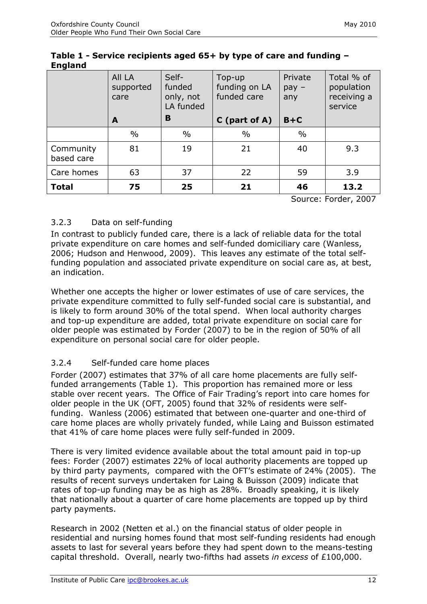|                         | All LA<br>supported<br>care | Self-<br>funded<br>only, not<br>LA funded | Top-up<br>funding on LA<br>funded care | Private<br>$pay -$<br>any | Total % of<br>population<br>receiving a<br>service |
|-------------------------|-----------------------------|-------------------------------------------|----------------------------------------|---------------------------|----------------------------------------------------|
|                         | A                           | B                                         | $C$ (part of A)                        | $B+C$                     |                                                    |
|                         | $\%$                        | $\frac{0}{0}$                             | $\frac{0}{0}$                          | $\frac{0}{0}$             |                                                    |
| Community<br>based care | 81                          | 19                                        | 21                                     | 40                        | 9.3                                                |
| Care homes              | 63                          | 37                                        | 22                                     | 59                        | 3.9                                                |
| <b>Total</b>            | 75                          | 25                                        | 21                                     | 46                        | 13.2                                               |

#### **Table 1 - Service recipients aged 65+ by type of care and funding – England**

Source: Forder, 2007

## <span id="page-12-0"></span>3.2.3 Data on self-funding

In contrast to publicly funded care, there is a lack of reliable data for the total private expenditure on care homes and self-funded domiciliary care (Wanless, 2006; Hudson and Henwood, 2009). This leaves any estimate of the total selffunding population and associated private expenditure on social care as, at best, an indication.

Whether one accepts the higher or lower estimates of use of care services, the private expenditure committed to fully self-funded social care is substantial, and is likely to form around 30% of the total spend. When local authority charges and top-up expenditure are added, total private expenditure on social care for older people was estimated by Forder (2007) to be in the region of 50% of all expenditure on personal social care for older people.

## <span id="page-12-1"></span>3.2.4 Self-funded care home places

Forder (2007) estimates that 37% of all care home placements are fully selffunded arrangements (Table 1). This proportion has remained more or less stable over recent years. The Office of Fair Trading's report into care homes for older people in the UK (OFT, 2005) found that 32% of residents were selffunding. Wanless (2006) estimated that between one-quarter and one-third of care home places are wholly privately funded, while Laing and Buisson estimated that 41% of care home places were fully self-funded in 2009.

There is very limited evidence available about the total amount paid in top-up fees: Forder (2007) estimates 22% of local authority placements are topped up by third party payments, compared with the OFT's estimate of 24% (2005). The results of recent surveys undertaken for Laing & Buisson (2009) indicate that rates of top-up funding may be as high as 28%. Broadly speaking, it is likely that nationally about a quarter of care home placements are topped up by third party payments.

Research in 2002 (Netten et al.) on the financial status of older people in residential and nursing homes found that most self-funding residents had enough assets to last for several years before they had spent down to the means-testing capital threshold. Overall, nearly two-fifths had assets *in excess* of £100,000.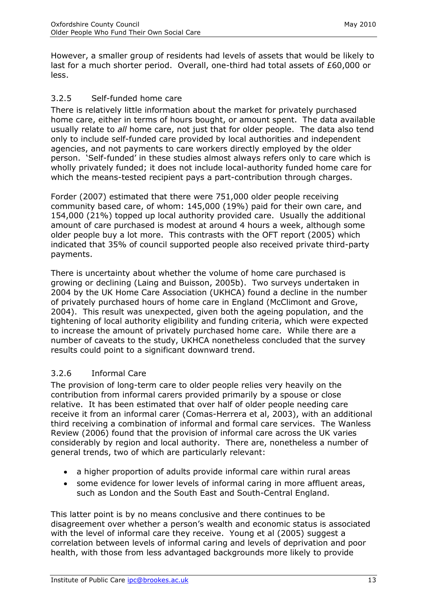However, a smaller group of residents had levels of assets that would be likely to last for a much shorter period. Overall, one-third had total assets of £60,000 or less.

## <span id="page-13-0"></span>3.2.5 Self-funded home care

There is relatively little information about the market for privately purchased home care, either in terms of hours bought, or amount spent. The data available usually relate to *all* home care, not just that for older people. The data also tend only to include self-funded care provided by local authorities and independent agencies, and not payments to care workers directly employed by the older person. 'Self-funded' in these studies almost always refers only to care which is wholly privately funded; it does not include local-authority funded home care for which the means-tested recipient pays a part-contribution through charges.

Forder (2007) estimated that there were 751,000 older people receiving community based care, of whom: 145,000 (19%) paid for their own care, and 154,000 (21%) topped up local authority provided care. Usually the additional amount of care purchased is modest at around 4 hours a week, although some older people buy a lot more. This contrasts with the OFT report (2005) which indicated that 35% of council supported people also received private third-party payments.

There is uncertainty about whether the volume of home care purchased is growing or declining (Laing and Buisson, 2005b). Two surveys undertaken in 2004 by the UK Home Care Association (UKHCA) found a decline in the number of privately purchased hours of home care in England (McClimont and Grove, 2004). This result was unexpected, given both the ageing population, and the tightening of local authority eligibility and funding criteria, which were expected to increase the amount of privately purchased home care. While there are a number of caveats to the study, UKHCA nonetheless concluded that the survey results could point to a significant downward trend.

## <span id="page-13-1"></span>3.2.6 Informal Care

The provision of long-term care to older people relies very heavily on the contribution from informal carers provided primarily by a spouse or close relative. It has been estimated that over half of older people needing care receive it from an informal carer (Comas-Herrera et al, 2003), with an additional third receiving a combination of informal and formal care services. The Wanless Review (2006) found that the provision of informal care across the UK varies considerably by region and local authority. There are, nonetheless a number of general trends, two of which are particularly relevant:

- a higher proportion of adults provide informal care within rural areas
- some evidence for lower levels of informal caring in more affluent areas, such as London and the South East and South-Central England.

This latter point is by no means conclusive and there continues to be disagreement over whether a person's wealth and economic status is associated with the level of informal care they receive. Young et al (2005) suggest a correlation between levels of informal caring and levels of deprivation and poor health, with those from less advantaged backgrounds more likely to provide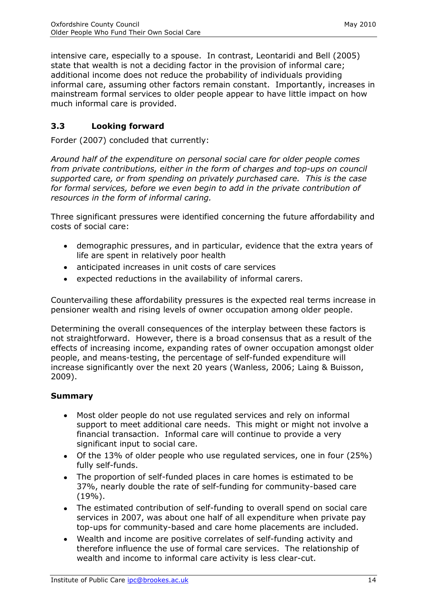intensive care, especially to a spouse. In contrast, Leontaridi and Bell (2005) state that wealth is not a deciding factor in the provision of informal care; additional income does not reduce the probability of individuals providing informal care, assuming other factors remain constant. Importantly, increases in mainstream formal services to older people appear to have little impact on how much informal care is provided.

# <span id="page-14-0"></span>**3.3 Looking forward**

Forder (2007) concluded that currently:

*Around half of the expenditure on personal social care for older people comes from private contributions, either in the form of charges and top-ups on council supported care, or from spending on privately purchased care. This is the case for formal services, before we even begin to add in the private contribution of resources in the form of informal caring.* 

Three significant pressures were identified concerning the future affordability and costs of social care:

- demographic pressures, and in particular, evidence that the extra years of life are spent in relatively poor health
- anticipated increases in unit costs of care services
- expected reductions in the availability of informal carers.  $\bullet$

Countervailing these affordability pressures is the expected real terms increase in pensioner wealth and rising levels of owner occupation among older people.

Determining the overall consequences of the interplay between these factors is not straightforward. However, there is a broad consensus that as a result of the effects of increasing income, expanding rates of owner occupation amongst older people, and means-testing, the percentage of self-funded expenditure will increase significantly over the next 20 years (Wanless, 2006; Laing & Buisson, 2009).

#### **Summary**

- Most older people do not use regulated services and rely on informal support to meet additional care needs. This might or might not involve a financial transaction. Informal care will continue to provide a very significant input to social care.
- Of the 13% of older people who use regulated services, one in four (25%) fully self-funds.
- The proportion of self-funded places in care homes is estimated to be 37%, nearly double the rate of self-funding for community-based care (19%).
- The estimated contribution of self-funding to overall spend on social care services in 2007, was about one half of all expenditure when private pay top-ups for community-based and care home placements are included.
- Wealth and income are positive correlates of self-funding activity and therefore influence the use of formal care services. The relationship of wealth and income to informal care activity is less clear-cut.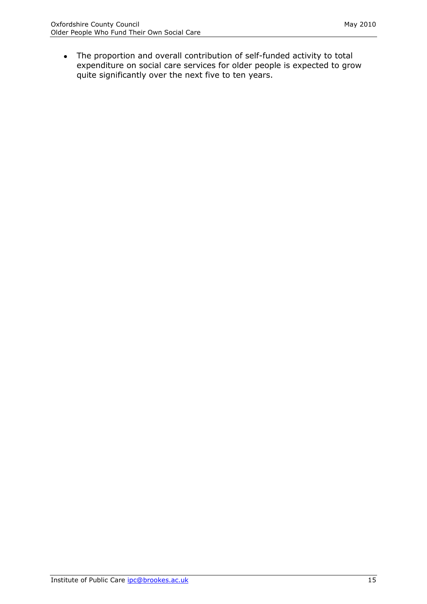The proportion and overall contribution of self-funded activity to total expenditure on social care services for older people is expected to grow quite significantly over the next five to ten years.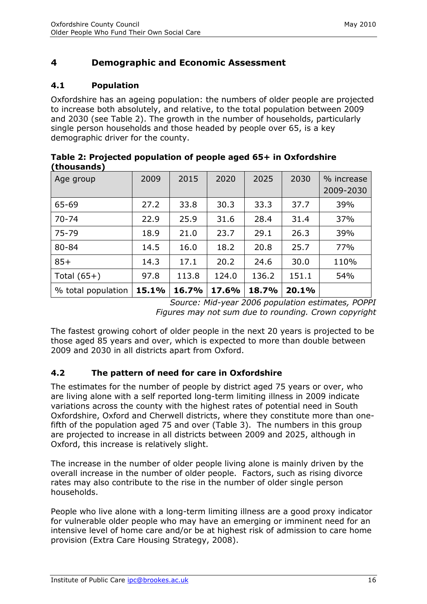# <span id="page-16-0"></span>**4 Demographic and Economic Assessment**

## <span id="page-16-1"></span>**4.1 Population**

Oxfordshire has an ageing population: the numbers of older people are projected to increase both absolutely, and relative, to the total population between 2009 and 2030 (see Table 2). The growth in the number of households, particularly single person households and those headed by people over 65, is a key demographic driver for the county.

| ulvusullus <i>I</i> |       |       |       |       |       |            |
|---------------------|-------|-------|-------|-------|-------|------------|
| Age group           | 2009  | 2015  | 2020  | 2025  | 2030  | % increase |
|                     |       |       |       |       |       | 2009-2030  |
| 65-69               | 27.2  | 33.8  | 30.3  | 33.3  | 37.7  | 39%        |
| $70 - 74$           | 22.9  | 25.9  | 31.6  | 28.4  | 31.4  | 37%        |
| 75-79               | 18.9  | 21.0  | 23.7  | 29.1  | 26.3  | 39%        |
| 80-84               | 14.5  | 16.0  | 18.2  | 20.8  | 25.7  | 77%        |
| $85+$               | 14.3  | 17.1  | 20.2  | 24.6  | 30.0  | 110%       |
| Total $(65+)$       | 97.8  | 113.8 | 124.0 | 136.2 | 151.1 | 54%        |
| % total population  | 15.1% | 16.7% | 17.6% | 18.7% | 20.1% |            |

**Table 2: Projected population of people aged 65+ in Oxfordshire (thousands)**

*Source: Mid-year 2006 population estimates, POPPI Figures may not sum due to rounding. Crown copyright*

The fastest growing cohort of older people in the next 20 years is projected to be those aged 85 years and over, which is expected to more than double between 2009 and 2030 in all districts apart from Oxford.

## <span id="page-16-2"></span>**4.2 The pattern of need for care in Oxfordshire**

The estimates for the number of people by district aged 75 years or over, who are living alone with a self reported long-term limiting illness in 2009 indicate variations across the county with the highest rates of potential need in South Oxfordshire, Oxford and Cherwell districts, where they constitute more than onefifth of the population aged 75 and over (Table 3). The numbers in this group are projected to increase in all districts between 2009 and 2025, although in Oxford, this increase is relatively slight.

The increase in the number of older people living alone is mainly driven by the overall increase in the number of older people. Factors, such as rising divorce rates may also contribute to the rise in the number of older single person households.

People who live alone with a long-term limiting illness are a good proxy indicator for vulnerable older people who may have an emerging or imminent need for an intensive level of home care and/or be at highest risk of admission to care home provision (Extra Care Housing Strategy, 2008).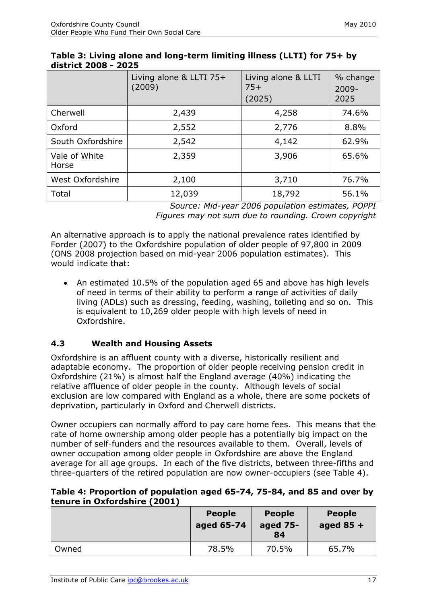|                        | Living alone & LLTI 75+<br>(2009) | Living alone & LLTI<br>$75+$<br>(2025) | % change<br>$2009 -$<br>2025 |
|------------------------|-----------------------------------|----------------------------------------|------------------------------|
| Cherwell               | 2,439                             | 4,258                                  | 74.6%                        |
| Oxford                 | 2,552                             | 2,776                                  | 8.8%                         |
| South Oxfordshire      | 2,542                             | 4,142                                  | 62.9%                        |
| Vale of White<br>Horse | 2,359                             | 3,906                                  | 65.6%                        |
| West Oxfordshire       | 2,100                             | 3,710                                  | 76.7%                        |
| Total                  | 12,039                            | 18,792                                 | 56.1%                        |

#### **Table 3: Living alone and long-term limiting illness (LLTI) for 75+ by district 2008 - 2025**

*Source: Mid-year 2006 population estimates, POPPI Figures may not sum due to rounding. Crown copyright*

An alternative approach is to apply the national prevalence rates identified by Forder (2007) to the Oxfordshire population of older people of 97,800 in 2009 (ONS 2008 projection based on mid-year 2006 population estimates). This would indicate that:

• An estimated 10.5% of the population aged 65 and above has high levels of need in terms of their ability to perform a range of activities of daily living (ADLs) such as dressing, feeding, washing, toileting and so on. This is equivalent to 10,269 older people with high levels of need in Oxfordshire.

## <span id="page-17-0"></span>**4.3 Wealth and Housing Assets**

Oxfordshire is an affluent county with a diverse, historically resilient and adaptable economy. The proportion of older people receiving pension credit in Oxfordshire (21%) is almost half the England average (40%) indicating the relative affluence of older people in the county. Although levels of social exclusion are low compared with England as a whole, there are some pockets of deprivation, particularly in Oxford and Cherwell districts.

Owner occupiers can normally afford to pay care home fees. This means that the rate of home ownership among older people has a potentially big impact on the number of self-funders and the resources available to them. Overall, levels of owner occupation among older people in Oxfordshire are above the England average for all age groups. In each of the five districts, between three-fifths and three-quarters of the retired population are now owner-occupiers (see Table 4).

#### **Table 4: Proportion of population aged 65-74, 75-84, and 85 and over by tenure in Oxfordshire (2001)**

|       | <b>People</b><br>aged 65-74 | <b>People</b><br>aged 75-<br>84 | <b>People</b><br>aged $85 +$ |
|-------|-----------------------------|---------------------------------|------------------------------|
| Owned | 78.5%                       | 70.5%                           | 65.7%                        |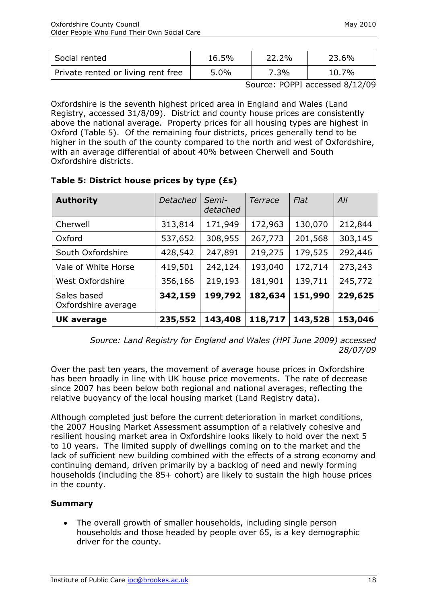| Social rented                      | 16.5%   | 22.2% | 23.6% |
|------------------------------------|---------|-------|-------|
| Private rented or living rent free | $5.0\%$ | 7.3%  | 10.7% |

Source: POPPI accessed 8/12/09

Oxfordshire is the seventh highest priced area in England and Wales (Land Registry, accessed 31/8/09). District and county house prices are consistently above the national average. Property prices for all housing types are highest in Oxford (Table 5). Of the remaining four districts, prices generally tend to be higher in the south of the county compared to the north and west of Oxfordshire, with an average differential of about 40% between Cherwell and South Oxfordshire districts.

| <b>Authority</b>                   | Detached<br>Semi-<br>Terrace<br>detached |         | Flat    | All     |         |
|------------------------------------|------------------------------------------|---------|---------|---------|---------|
| Cherwell                           | 313,814                                  | 171,949 | 172,963 | 130,070 | 212,844 |
| Oxford                             | 537,652                                  | 308,955 | 267,773 | 201,568 | 303,145 |
| South Oxfordshire                  | 428,542                                  | 247,891 | 219,275 | 179,525 | 292,446 |
| Vale of White Horse                | 419,501                                  | 242,124 | 193,040 | 172,714 | 273,243 |
| West Oxfordshire                   | 356,166                                  | 219,193 | 181,901 | 139,711 | 245,772 |
| Sales based<br>Oxfordshire average | 342,159                                  | 199,792 | 182,634 | 151,990 | 229,625 |
| <b>UK average</b>                  | 235,552                                  | 143,408 | 118,717 | 143,528 | 153,046 |

#### **Table 5: District house prices by type (£s)**

*Source: Land Registry for England and Wales (HPI June 2009) accessed 28/07/09*

Over the past ten years, the movement of average house prices in Oxfordshire has been broadly in line with UK house price movements. The rate of decrease since 2007 has been below both regional and national averages, reflecting the relative buoyancy of the local housing market (Land Registry data).

Although completed just before the current deterioration in market conditions, the 2007 Housing Market Assessment assumption of a relatively cohesive and resilient housing market area in Oxfordshire looks likely to hold over the next 5 to 10 years. The limited supply of dwellings coming on to the market and the lack of sufficient new building combined with the effects of a strong economy and continuing demand, driven primarily by a backlog of need and newly forming households (including the 85+ cohort) are likely to sustain the high house prices in the county.

#### **Summary**

The overall growth of smaller households, including single person households and those headed by people over 65, is a key demographic driver for the county.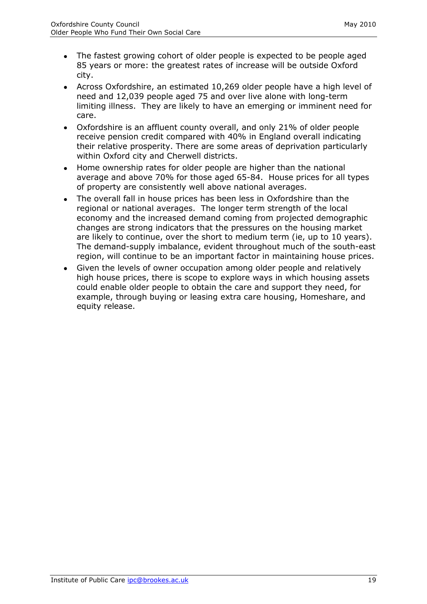- The fastest growing cohort of older people is expected to be people aged 85 years or more: the greatest rates of increase will be outside Oxford city.
- Across Oxfordshire, an estimated 10,269 older people have a high level of need and 12,039 people aged 75 and over live alone with long-term limiting illness. They are likely to have an emerging or imminent need for care.
- Oxfordshire is an affluent county overall, and only 21% of older people receive pension credit compared with 40% in England overall indicating their relative prosperity. There are some areas of deprivation particularly within Oxford city and Cherwell districts.
- Home ownership rates for older people are higher than the national average and above 70% for those aged 65-84. House prices for all types of property are consistently well above national averages.
- The overall fall in house prices has been less in Oxfordshire than the regional or national averages. The longer term strength of the local economy and the increased demand coming from projected demographic changes are strong indicators that the pressures on the housing market are likely to continue, over the short to medium term (ie, up to 10 years). The demand-supply imbalance, evident throughout much of the south-east region, will continue to be an important factor in maintaining house prices.
- <span id="page-19-0"></span>Given the levels of owner occupation among older people and relatively high house prices, there is scope to explore ways in which housing assets could enable older people to obtain the care and support they need, for example, through buying or leasing extra care housing, Homeshare, and equity release.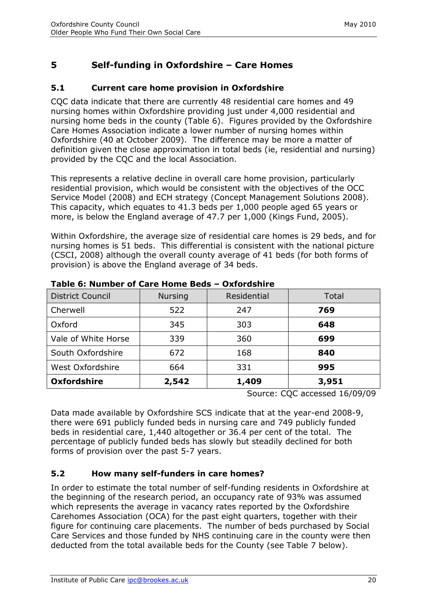# **5 Self-funding in Oxfordshire – Care Homes**

## <span id="page-20-0"></span>**5.1 Current care home provision in Oxfordshire**

CQC data indicate that there are currently 48 residential care homes and 49 nursing homes within Oxfordshire providing just under 4,000 residential and nursing home beds in the county (Table 6). Figures provided by the Oxfordshire Care Homes Association indicate a lower number of nursing homes within Oxfordshire (40 at October 2009). The difference may be more a matter of definition given the close approximation in total beds (ie, residential and nursing) provided by the CQC and the local Association.

This represents a relative decline in overall care home provision, particularly residential provision, which would be consistent with the objectives of the OCC Service Model (2008) and ECH strategy (Concept Management Solutions 2008). This capacity, which equates to 41.3 beds per 1,000 people aged 65 years or more, is below the England average of 47.7 per 1,000 (Kings Fund, 2005).

Within Oxfordshire, the average size of residential care homes is 29 beds, and for nursing homes is 51 beds. This differential is consistent with the national picture (CSCI, 2008) although the overall county average of 41 beds (for both forms of provision) is above the England average of 34 beds.

| <b>District Council</b> | <b>Nursing</b> | Residential | Total |
|-------------------------|----------------|-------------|-------|
| Cherwell                | 522            | 247         | 769   |
| Oxford                  | 345            | 303         | 648   |
| Vale of White Horse     | 339            | 360         | 699   |
| South Oxfordshire       | 672            | 168         | 840   |
| West Oxfordshire        | 664            | 331         | 995   |
| <b>Oxfordshire</b>      | 2,542          | 1,409       | 3,951 |

#### **Table 6: Number of Care Home Beds – Oxfordshire**

Source: CQC accessed 16/09/09

Data made available by Oxfordshire SCS indicate that at the year-end 2008-9, there were 691 publicly funded beds in nursing care and 749 publicly funded beds in residential care, 1,440 altogether or 36.4 per cent of the total. The percentage of publicly funded beds has slowly but steadily declined for both forms of provision over the past 5-7 years.

# <span id="page-20-1"></span>**5.2 How many self-funders in care homes?**

In order to estimate the total number of self-funding residents in Oxfordshire at the beginning of the research period, an occupancy rate of 93% was assumed which represents the average in vacancy rates reported by the Oxfordshire Carehomes Association (OCA) for the past eight quarters, together with their figure for continuing care placements. The number of beds purchased by Social Care Services and those funded by NHS continuing care in the county were then deducted from the total available beds for the County (see Table 7 below).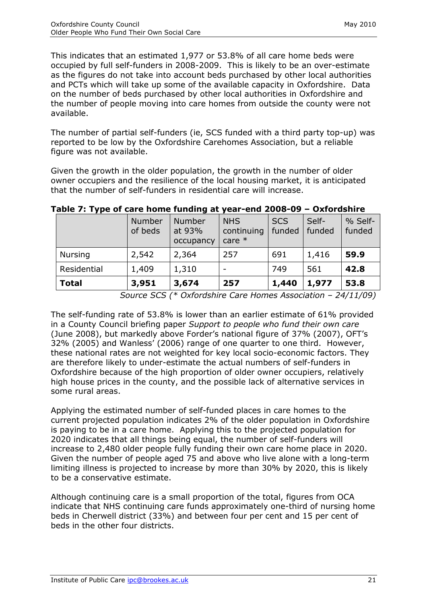This indicates that an estimated 1,977 or 53.8% of all care home beds were occupied by full self-funders in 2008-2009. This is likely to be an over-estimate as the figures do not take into account beds purchased by other local authorities and PCTs which will take up some of the available capacity in Oxfordshire. Data on the number of beds purchased by other local authorities in Oxfordshire and the number of people moving into care homes from outside the county were not available.

The number of partial self-funders (ie, SCS funded with a third party top-up) was reported to be low by the Oxfordshire Carehomes Association, but a reliable figure was not available.

Given the growth in the older population, the growth in the number of older owner occupiers and the resilience of the local housing market, it is anticipated that the number of self-funders in residential care will increase.

|                | Number<br>of beds | <b>Number</b><br>at 93%<br>occupancy | <b>NHS</b><br>continuing<br>care $*$ | <b>SCS</b><br>funded | Self-<br>funded | % Self-<br>funded |
|----------------|-------------------|--------------------------------------|--------------------------------------|----------------------|-----------------|-------------------|
| <b>Nursing</b> | 2,542             | 2,364                                | 257                                  | 691                  | 1,416           | 59.9              |
| Residential    | 1,409             | 1,310                                |                                      | 749                  | 561             | 42.8              |
| <b>Total</b>   | 3,951             | 3,674                                | 257                                  | 1,440                | 1,977           | 53.8              |

#### **Table 7: Type of care home funding at year-end 2008-09 – Oxfordshire**

*Source SCS (\* Oxfordshire Care Homes Association – 24/11/09)* 

The self-funding rate of 53.8% is lower than an earlier estimate of 61% provided in a County Council briefing paper *Support to people who fund their own care*  (June 2008), but markedly above Forder's national figure of 37% (2007), OFT's 32% (2005) and Wanless' (2006) range of one quarter to one third. However, these national rates are not weighted for key local socio-economic factors. They are therefore likely to under-estimate the actual numbers of self-funders in Oxfordshire because of the high proportion of older owner occupiers, relatively high house prices in the county, and the possible lack of alternative services in some rural areas.

Applying the estimated number of self-funded places in care homes to the current projected population indicates 2% of the older population in Oxfordshire is paying to be in a care home. Applying this to the projected population for 2020 indicates that all things being equal, the number of self-funders will increase to 2,480 older people fully funding their own care home place in 2020. Given the number of people aged 75 and above who live alone with a long-term limiting illness is projected to increase by more than 30% by 2020, this is likely to be a conservative estimate.

Although continuing care is a small proportion of the total, figures from OCA indicate that NHS continuing care funds approximately one-third of nursing home beds in Cherwell district (33%) and between four per cent and 15 per cent of beds in the other four districts.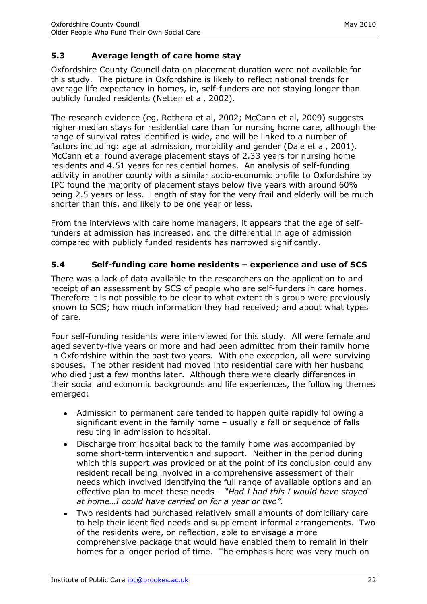# <span id="page-22-0"></span>**5.3 Average length of care home stay**

Oxfordshire County Council data on placement duration were not available for this study. The picture in Oxfordshire is likely to reflect national trends for average life expectancy in homes, ie, self-funders are not staying longer than publicly funded residents (Netten et al, 2002).

The research evidence (eg, Rothera et al, 2002; McCann et al, 2009) suggests higher median stays for residential care than for nursing home care, although the range of survival rates identified is wide, and will be linked to a number of factors including: age at admission, morbidity and gender (Dale et al, 2001). McCann et al found average placement stays of 2.33 years for nursing home residents and 4.51 years for residential homes. An analysis of self-funding activity in another county with a similar socio-economic profile to Oxfordshire by IPC found the majority of placement stays below five years with around 60% being 2.5 years or less. Length of stay for the very frail and elderly will be much shorter than this, and likely to be one year or less.

From the interviews with care home managers, it appears that the age of selffunders at admission has increased, and the differential in age of admission compared with publicly funded residents has narrowed significantly.

## <span id="page-22-1"></span>**5.4 Self-funding care home residents – experience and use of SCS**

There was a lack of data available to the researchers on the application to and receipt of an assessment by SCS of people who are self-funders in care homes. Therefore it is not possible to be clear to what extent this group were previously known to SCS; how much information they had received; and about what types of care.

Four self-funding residents were interviewed for this study. All were female and aged seventy-five years or more and had been admitted from their family home in Oxfordshire within the past two years. With one exception, all were surviving spouses. The other resident had moved into residential care with her husband who died just a few months later. Although there were clearly differences in their social and economic backgrounds and life experiences, the following themes emerged:

- Admission to permanent care tended to happen quite rapidly following a significant event in the family home – usually a fall or sequence of falls resulting in admission to hospital.
- Discharge from hospital back to the family home was accompanied by some short-term intervention and support. Neither in the period during which this support was provided or at the point of its conclusion could any resident recall being involved in a comprehensive assessment of their needs which involved identifying the full range of available options and an effective plan to meet these needs – *"Had I had this I would have stayed at home…I could have carried on for a year or two".*
- Two residents had purchased relatively small amounts of domiciliary care to help their identified needs and supplement informal arrangements. Two of the residents were, on reflection, able to envisage a more comprehensive package that would have enabled them to remain in their homes for a longer period of time. The emphasis here was very much on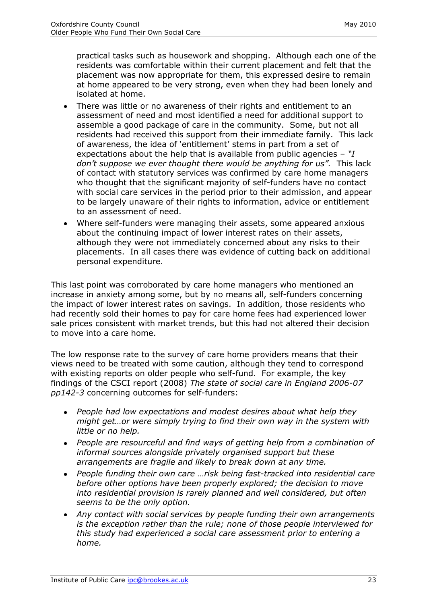practical tasks such as housework and shopping. Although each one of the residents was comfortable within their current placement and felt that the placement was now appropriate for them, this expressed desire to remain at home appeared to be very strong, even when they had been lonely and isolated at home.

- There was little or no awareness of their rights and entitlement to an assessment of need and most identified a need for additional support to assemble a good package of care in the community. Some, but not all residents had received this support from their immediate family. This lack of awareness, the idea of 'entitlement' stems in part from a set of expectations about the help that is available from public agencies – *"I don"t suppose we ever thought there would be anything for us".* This lack of contact with statutory services was confirmed by care home managers who thought that the significant majority of self-funders have no contact with social care services in the period prior to their admission, and appear to be largely unaware of their rights to information, advice or entitlement to an assessment of need.
- Where self-funders were managing their assets, some appeared anxious about the continuing impact of lower interest rates on their assets, although they were not immediately concerned about any risks to their placements. In all cases there was evidence of cutting back on additional personal expenditure.

This last point was corroborated by care home managers who mentioned an increase in anxiety among some, but by no means all, self-funders concerning the impact of lower interest rates on savings. In addition, those residents who had recently sold their homes to pay for care home fees had experienced lower sale prices consistent with market trends, but this had not altered their decision to move into a care home.

The low response rate to the survey of care home providers means that their views need to be treated with some caution, although they tend to correspond with existing reports on older people who self-fund. For example, the key findings of the CSCI report (2008) *The state of social care in England 2006-07 pp142-3* concerning outcomes for self-funders:

- *People had low expectations and modest desires about what help they might get…or were simply trying to find their own way in the system with little or no help.*
- *People are resourceful and find ways of getting help from a combination of informal sources alongside privately organised support but these arrangements are fragile and likely to break down at any time.*
- *People funding their own care …risk being fast-tracked into residential care before other options have been properly explored; the decision to move into residential provision is rarely planned and well considered, but often seems to be the only option.*
- *Any contact with social services by people funding their own arrangements is the exception rather than the rule; none of those people interviewed for this study had experienced a social care assessment prior to entering a home.*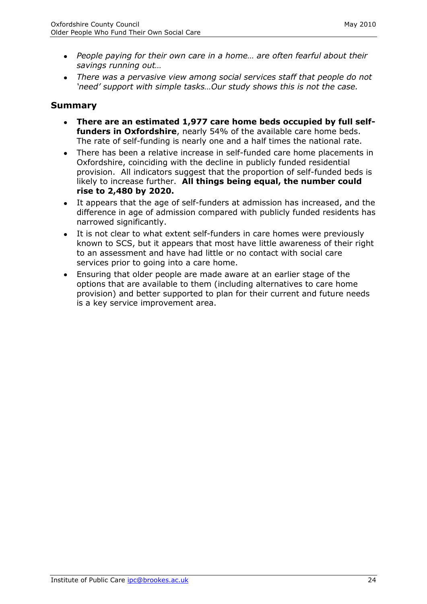- *People paying for their own care in a home… are often fearful about their savings running out…*
- *There was a pervasive view among social services staff that people do not "need" support with simple tasks…Our study shows this is not the case.*

# **Summary**

- **There are an estimated 1,977 care home beds occupied by full selffunders in Oxfordshire**, nearly 54% of the available care home beds. The rate of self-funding is nearly one and a half times the national rate.
- There has been a relative increase in self-funded care home placements in Oxfordshire, coinciding with the decline in publicly funded residential provision. All indicators suggest that the proportion of self-funded beds is likely to increase further. **All things being equal, the number could rise to 2,480 by 2020.**
- It appears that the age of self-funders at admission has increased, and the difference in age of admission compared with publicly funded residents has narrowed significantly.
- It is not clear to what extent self-funders in care homes were previously known to SCS, but it appears that most have little awareness of their right to an assessment and have had little or no contact with social care services prior to going into a care home.
- <span id="page-24-0"></span>Ensuring that older people are made aware at an earlier stage of the options that are available to them (including alternatives to care home provision) and better supported to plan for their current and future needs is a key service improvement area.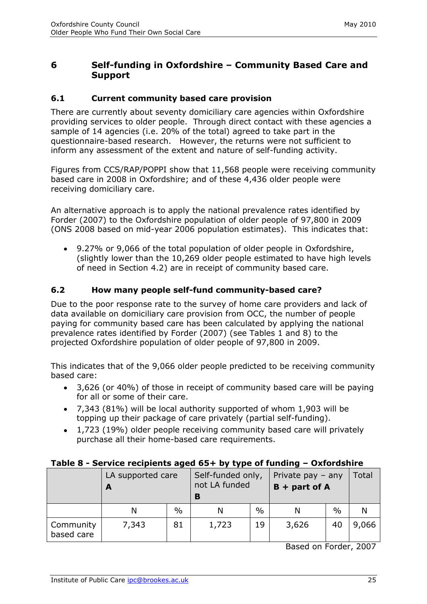## **6 Self-funding in Oxfordshire – Community Based Care and Support**

#### <span id="page-25-0"></span>**6.1 Current community based care provision**

There are currently about seventy domiciliary care agencies within Oxfordshire providing services to older people. Through direct contact with these agencies a sample of 14 agencies (i.e. 20% of the total) agreed to take part in the questionnaire-based research. However, the returns were not sufficient to inform any assessment of the extent and nature of self-funding activity.

Figures from CCS/RAP/POPPI show that 11,568 people were receiving community based care in 2008 in Oxfordshire; and of these 4,436 older people were receiving domiciliary care.

An alternative approach is to apply the national prevalence rates identified by Forder (2007) to the Oxfordshire population of older people of 97,800 in 2009 (ONS 2008 based on mid-year 2006 population estimates). This indicates that:

9.27% or 9,066 of the total population of older people in Oxfordshire, (slightly lower than the 10,269 older people estimated to have high levels of need in Section 4.2) are in receipt of community based care.

#### <span id="page-25-1"></span>**6.2 How many people self-fund community-based care?**

Due to the poor response rate to the survey of home care providers and lack of data available on domiciliary care provision from OCC, the number of people paying for community based care has been calculated by applying the national prevalence rates identified by Forder (2007) (see Tables 1 and 8) to the projected Oxfordshire population of older people of 97,800 in 2009.

This indicates that of the 9,066 older people predicted to be receiving community based care:

- 3,626 (or 40%) of those in receipt of community based care will be paying for all or some of their care.
- 7,343 (81%) will be local authority supported of whom 1,903 will be topping up their package of care privately (partial self-funding).
- 1,723 (19%) older people receiving community based care will privately purchase all their home-based care requirements.

#### **Table 8 - Service recipients aged 65+ by type of funding – Oxfordshire**

|                         | LA supported care |               | Self-funded only,<br>not LA funded<br>В |               | Private pay $-$ any<br>$B +$ part of A | Total         |       |
|-------------------------|-------------------|---------------|-----------------------------------------|---------------|----------------------------------------|---------------|-------|
|                         |                   | $\frac{0}{0}$ |                                         | $\frac{0}{0}$ |                                        | $\frac{0}{0}$ |       |
| Community<br>based care | 7,343             | 81            | 1,723                                   | 19            | 3,626                                  | 40            | 9,066 |

Based on Forder, 2007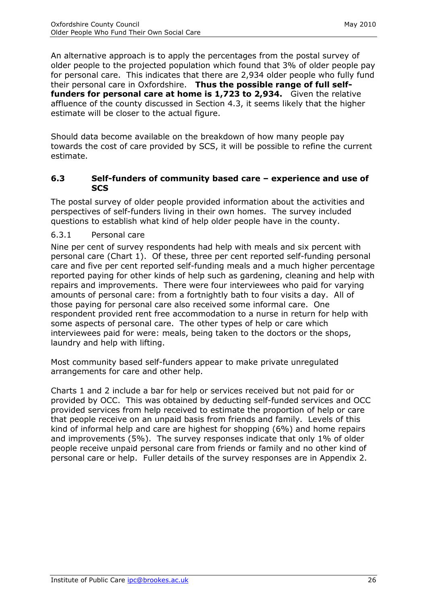An alternative approach is to apply the percentages from the postal survey of older people to the projected population which found that 3% of older people pay for personal care. This indicates that there are 2,934 older people who fully fund their personal care in Oxfordshire. **Thus the possible range of full selffunders for personal care at home is 1,723 to 2,934.** Given the relative affluence of the county discussed in Section 4.3, it seems likely that the higher estimate will be closer to the actual figure.

Should data become available on the breakdown of how many people pay towards the cost of care provided by SCS, it will be possible to refine the current estimate.

#### <span id="page-26-0"></span>**6.3 Self-funders of community based care – experience and use of SCS**

The postal survey of older people provided information about the activities and perspectives of self-funders living in their own homes. The survey included questions to establish what kind of help older people have in the county.

#### <span id="page-26-1"></span>6.3.1 Personal care

Nine per cent of survey respondents had help with meals and six percent with personal care (Chart 1). Of these, three per cent reported self-funding personal care and five per cent reported self-funding meals and a much higher percentage reported paying for other kinds of help such as gardening, cleaning and help with repairs and improvements. There were four interviewees who paid for varying amounts of personal care: from a fortnightly bath to four visits a day. All of those paying for personal care also received some informal care. One respondent provided rent free accommodation to a nurse in return for help with some aspects of personal care. The other types of help or care which interviewees paid for were: meals, being taken to the doctors or the shops, laundry and help with lifting.

Most community based self-funders appear to make private unregulated arrangements for care and other help.

Charts 1 and 2 include a bar for help or services received but not paid for or provided by OCC. This was obtained by deducting self-funded services and OCC provided services from help received to estimate the proportion of help or care that people receive on an unpaid basis from friends and family. Levels of this kind of informal help and care are highest for shopping (6%) and home repairs and improvements (5%). The survey responses indicate that only 1% of older people receive unpaid personal care from friends or family and no other kind of personal care or help. Fuller details of the survey responses are in Appendix 2.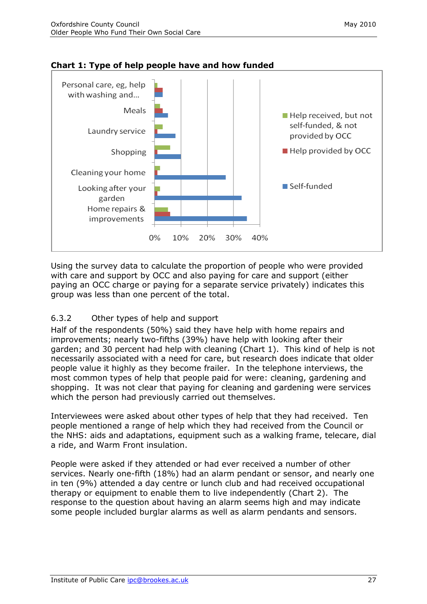

## **Chart 1: Type of help people have and how funded**

Using the survey data to calculate the proportion of people who were provided with care and support by OCC and also paying for care and support (either paying an OCC charge or paying for a separate service privately) indicates this group was less than one percent of the total.

#### <span id="page-27-0"></span>6.3.2 Other types of help and support

Half of the respondents (50%) said they have help with home repairs and improvements; nearly two-fifths (39%) have help with looking after their garden; and 30 percent had help with cleaning (Chart 1). This kind of help is not necessarily associated with a need for care, but research does indicate that older people value it highly as they become frailer. In the telephone interviews, the most common types of help that people paid for were: cleaning, gardening and shopping. It was not clear that paying for cleaning and gardening were services which the person had previously carried out themselves.

Interviewees were asked about other types of help that they had received. Ten people mentioned a range of help which they had received from the Council or the NHS: aids and adaptations, equipment such as a walking frame, telecare, dial a ride, and Warm Front insulation.

People were asked if they attended or had ever received a number of other services. Nearly one-fifth (18%) had an alarm pendant or sensor, and nearly one in ten (9%) attended a day centre or lunch club and had received occupational therapy or equipment to enable them to live independently (Chart 2). The response to the question about having an alarm seems high and may indicate some people included burglar alarms as well as alarm pendants and sensors.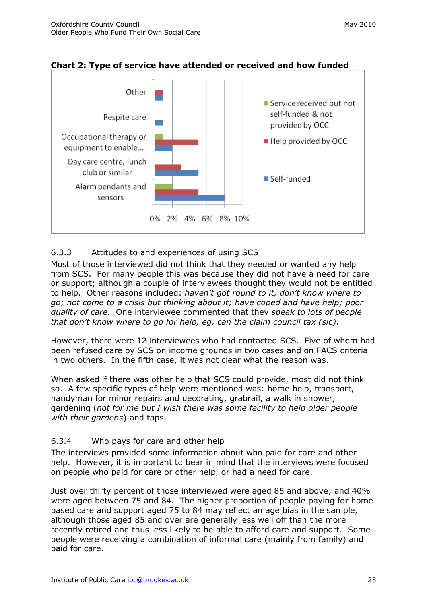

## **Chart 2: Type of service have attended or received and how funded**

## <span id="page-28-0"></span>6.3.3 Attitudes to and experiences of using SCS

Most of those interviewed did not think that they needed or wanted any help from SCS. For many people this was because they did not have a need for care or support; although a couple of interviewees thought they would not be entitled to help. Other reasons included: *haven"t got round to it, don"t know where to go; not come to a crisis but thinking about it; have coped and have help; poor quality of care.* One interviewee commented that they *speak to lots of people that don"t know where to go for help, eg, can the claim council tax (sic)*.

However, there were 12 interviewees who had contacted SCS. Five of whom had been refused care by SCS on income grounds in two cases and on FACS criteria in two others. In the fifth case, it was not clear what the reason was.

When asked if there was other help that SCS could provide, most did not think so. A few specific types of help were mentioned was: home help, transport, handyman for minor repairs and decorating, grabrail, a walk in shower, gardening (*not for me but I wish there was some facility to help older people with their gardens*) and taps.

#### <span id="page-28-1"></span>6.3.4 Who pays for care and other help

The interviews provided some information about who paid for care and other help. However, it is important to bear in mind that the interviews were focused on people who paid for care or other help, or had a need for care.

Just over thirty percent of those interviewed were aged 85 and above; and 40% were aged between 75 and 84. The higher proportion of people paying for home based care and support aged 75 to 84 may reflect an age bias in the sample, although those aged 85 and over are generally less well off than the more recently retired and thus less likely to be able to afford care and support. Some people were receiving a combination of informal care (mainly from family) and paid for care.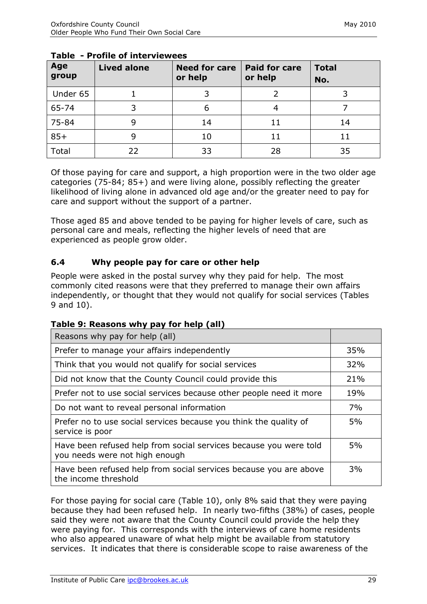| Age<br>group | <b>Lived alone</b> | <b>Need for care</b><br>or help | <b>Paid for care</b><br>or help | <b>Total</b><br>No. |
|--------------|--------------------|---------------------------------|---------------------------------|---------------------|
| Under 65     |                    |                                 |                                 |                     |
| 65-74        |                    | 6                               |                                 |                     |
| 75-84        |                    | 14                              |                                 | 14                  |
| $85+$        |                    | 10                              |                                 |                     |
| Total        | 22                 | 33                              | 28                              | 35                  |

#### **Table - Profile of interviewees**

Of those paying for care and support, a high proportion were in the two older age categories (75-84; 85+) and were living alone, possibly reflecting the greater likelihood of living alone in advanced old age and/or the greater need to pay for care and support without the support of a partner.

Those aged 85 and above tended to be paying for higher levels of care, such as personal care and meals, reflecting the higher levels of need that are experienced as people grow older.

## <span id="page-29-0"></span>**6.4 Why people pay for care or other help**

People were asked in the postal survey why they paid for help. The most commonly cited reasons were that they preferred to manage their own affairs independently, or thought that they would not qualify for social services (Tables 9 and 10).

| Table 9: Reasons why pay for help (all) |  |
|-----------------------------------------|--|
|-----------------------------------------|--|

| Reasons why pay for help (all)                                                                      |     |
|-----------------------------------------------------------------------------------------------------|-----|
| Prefer to manage your affairs independently                                                         | 35% |
| Think that you would not qualify for social services                                                | 32% |
| Did not know that the County Council could provide this                                             | 21% |
| Prefer not to use social services because other people need it more                                 | 19% |
| Do not want to reveal personal information                                                          | 7%  |
| Prefer no to use social services because you think the quality of<br>service is poor                | 5%  |
| Have been refused help from social services because you were told<br>you needs were not high enough | 5%  |
| Have been refused help from social services because you are above<br>the income threshold           | 3%  |

For those paying for social care (Table 10), only 8% said that they were paying because they had been refused help. In nearly two-fifths (38%) of cases, people said they were not aware that the County Council could provide the help they were paying for. This corresponds with the interviews of care home residents who also appeared unaware of what help might be available from statutory services. It indicates that there is considerable scope to raise awareness of the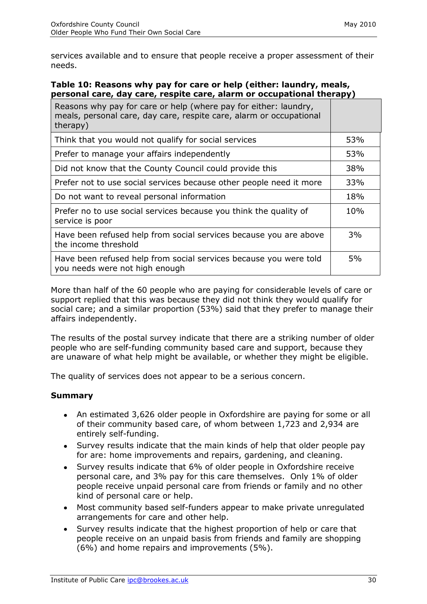services available and to ensure that people receive a proper assessment of their needs.

#### **Table 10: Reasons why pay for care or help (either: laundry, meals, personal care, day care, respite care, alarm or occupational therapy)**

| Reasons why pay for care or help (where pay for either: laundry,<br>meals, personal care, day care, respite care, alarm or occupational<br>therapy) |     |
|-----------------------------------------------------------------------------------------------------------------------------------------------------|-----|
| Think that you would not qualify for social services                                                                                                | 53% |
| Prefer to manage your affairs independently                                                                                                         | 53% |
| Did not know that the County Council could provide this                                                                                             | 38% |
| Prefer not to use social services because other people need it more                                                                                 | 33% |
| Do not want to reveal personal information                                                                                                          | 18% |
| Prefer no to use social services because you think the quality of<br>service is poor                                                                | 10% |
| Have been refused help from social services because you are above<br>the income threshold                                                           | 3%  |
| Have been refused help from social services because you were told<br>you needs were not high enough                                                 | 5%  |

More than half of the 60 people who are paying for considerable levels of care or support replied that this was because they did not think they would qualify for social care; and a similar proportion (53%) said that they prefer to manage their affairs independently.

The results of the postal survey indicate that there are a striking number of older people who are self-funding community based care and support, because they are unaware of what help might be available, or whether they might be eligible.

The quality of services does not appear to be a serious concern.

## **Summary**

- An estimated 3,626 older people in Oxfordshire are paying for some or all of their community based care, of whom between 1,723 and 2,934 are entirely self-funding.
- Survey results indicate that the main kinds of help that older people pay for are: home improvements and repairs, gardening, and cleaning.
- Survey results indicate that 6% of older people in Oxfordshire receive personal care, and 3% pay for this care themselves. Only 1% of older people receive unpaid personal care from friends or family and no other kind of personal care or help.
- Most community based self-funders appear to make private unregulated arrangements for care and other help.
- Survey results indicate that the highest proportion of help or care that people receive on an unpaid basis from friends and family are shopping (6%) and home repairs and improvements (5%).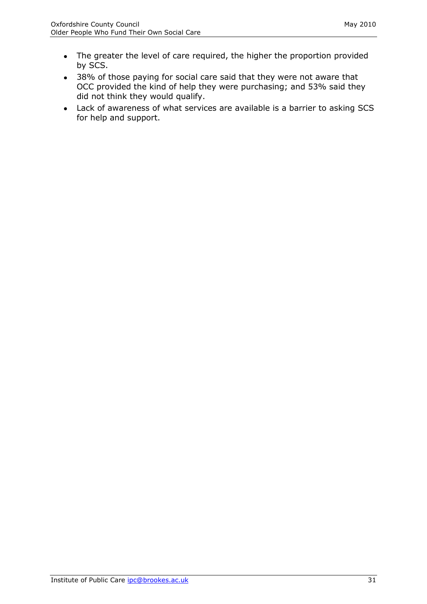- The greater the level of care required, the higher the proportion provided by SCS.
- 38% of those paying for social care said that they were not aware that OCC provided the kind of help they were purchasing; and 53% said they did not think they would qualify.
- <span id="page-31-0"></span>Lack of awareness of what services are available is a barrier to asking SCS for help and support.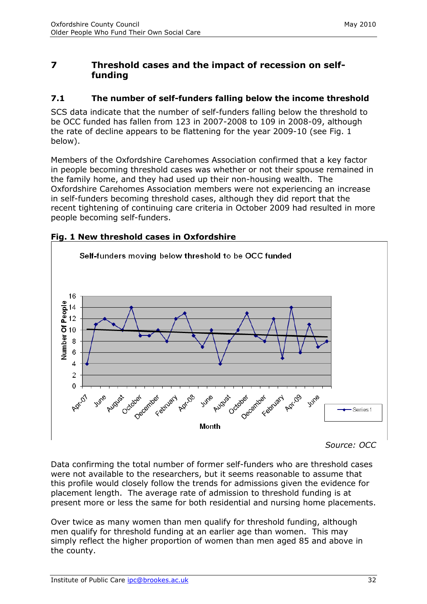# **7 Threshold cases and the impact of recession on selffunding**

## <span id="page-32-0"></span>**7.1 The number of self-funders falling below the income threshold**

SCS data indicate that the number of self-funders falling below the threshold to be OCC funded has fallen from 123 in 2007-2008 to 109 in 2008-09, although the rate of decline appears to be flattening for the year 2009-10 (see Fig. 1 below).

Members of the Oxfordshire Carehomes Association confirmed that a key factor in people becoming threshold cases was whether or not their spouse remained in the family home, and they had used up their non-housing wealth. The Oxfordshire Carehomes Association members were not experiencing an increase in self-funders becoming threshold cases, although they did report that the recent tightening of continuing care criteria in October 2009 had resulted in more people becoming self-funders.





*Source: OCC*

Data confirming the total number of former self-funders who are threshold cases were not available to the researchers, but it seems reasonable to assume that this profile would closely follow the trends for admissions given the evidence for placement length. The average rate of admission to threshold funding is at present more or less the same for both residential and nursing home placements.

Over twice as many women than men qualify for threshold funding, although men qualify for threshold funding at an earlier age than women. This may simply reflect the higher proportion of women than men aged 85 and above in the county.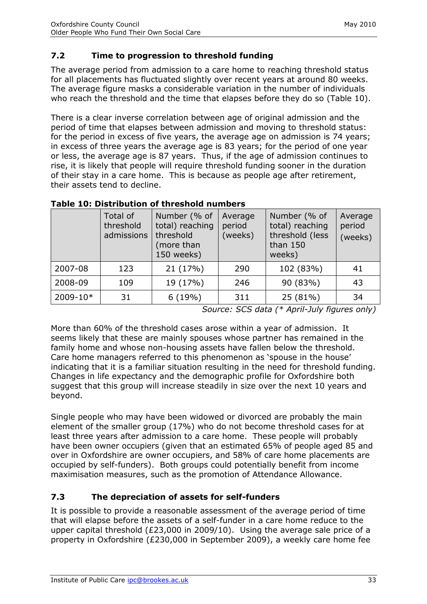# <span id="page-33-0"></span>**7.2 Time to progression to threshold funding**

The average period from admission to a care home to reaching threshold status for all placements has fluctuated slightly over recent years at around 80 weeks. The average figure masks a considerable variation in the number of individuals who reach the threshold and the time that elapses before they do so (Table 10).

There is a clear inverse correlation between age of original admission and the period of time that elapses between admission and moving to threshold status: for the period in excess of five years, the average age on admission is 74 years; in excess of three years the average age is 83 years; for the period of one year or less, the average age is 87 years. Thus, if the age of admission continues to rise, it is likely that people will require threshold funding sooner in the duration of their stay in a care home. This is because as people age after retirement, their assets tend to decline.

|          | Total of<br>threshold<br>admissions | Number (% of<br>total) reaching<br>threshold<br>(more than<br>150 weeks) | Average<br>period<br>(weeks) | Number (% of<br>total) reaching<br>threshold (less<br>than 150<br>weeks) | Average<br>period<br>(weeks) |
|----------|-------------------------------------|--------------------------------------------------------------------------|------------------------------|--------------------------------------------------------------------------|------------------------------|
| 2007-08  | 123                                 | 21 (17%)                                                                 | 290                          | 102 (83%)                                                                | 41                           |
| 2008-09  | 109                                 | 19 (17%)                                                                 | 246                          | 90 (83%)                                                                 | 43                           |
| 2009-10* | 31                                  | 6(19%)                                                                   | 311                          | 25 (81%)                                                                 | 34                           |

#### **Table 10: Distribution of threshold numbers**

*Source: SCS data (\* April-July figures only)*

More than 60% of the threshold cases arose within a year of admission. It seems likely that these are mainly spouses whose partner has remained in the family home and whose non-housing assets have fallen below the threshold. Care home managers referred to this phenomenon as 'spouse in the house' indicating that it is a familiar situation resulting in the need for threshold funding. Changes in life expectancy and the demographic profile for Oxfordshire both suggest that this group will increase steadily in size over the next 10 years and beyond.

Single people who may have been widowed or divorced are probably the main element of the smaller group (17%) who do not become threshold cases for at least three years after admission to a care home. These people will probably have been owner occupiers (given that an estimated 65% of people aged 85 and over in Oxfordshire are owner occupiers, and 58% of care home placements are occupied by self-funders). Both groups could potentially benefit from income maximisation measures, such as the promotion of Attendance Allowance.

## <span id="page-33-1"></span>**7.3 The depreciation of assets for self-funders**

It is possible to provide a reasonable assessment of the average period of time that will elapse before the assets of a self-funder in a care home reduce to the upper capital threshold (£23,000 in 2009/10). Using the average sale price of a property in Oxfordshire (£230,000 in September 2009), a weekly care home fee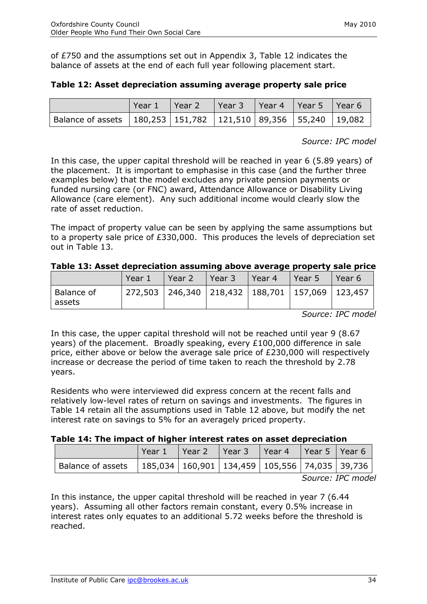of £750 and the assumptions set out in Appendix 3, Table 12 indicates the balance of assets at the end of each full year following placement start.

|                                                                            | Year $1$ Year 2 | Year 3    Year 4    Year 5    Year 6 |  |  |
|----------------------------------------------------------------------------|-----------------|--------------------------------------|--|--|
| Balance of assets   180,253   151,782   121,510   89,356   55,240   19,082 |                 |                                      |  |  |

#### **Table 12: Asset depreciation assuming average property sale price**

*Source: IPC model*

In this case, the upper capital threshold will be reached in year 6 (5.89 years) of the placement. It is important to emphasise in this case (and the further three examples below) that the model excludes any private pension payments or funded nursing care (or FNC) award, Attendance Allowance or Disability Living Allowance (care element). Any such additional income would clearly slow the rate of asset reduction.

The impact of property value can be seen by applying the same assumptions but to a property sale price of £330,000. This produces the levels of depreciation set out in Table 13.

| Table 13: Asset depreciation assuming above average property sale price |
|-------------------------------------------------------------------------|
|-------------------------------------------------------------------------|

|                        | Year 1                                                    | l Year 2 | Year 3 | l Year 4 | l Year 5 | Year 6 |
|------------------------|-----------------------------------------------------------|----------|--------|----------|----------|--------|
| l Balance of<br>assets | 272,503   246,340   218,432   188,701   157,069   123,457 |          |        |          |          |        |

*Source: IPC model*

In this case, the upper capital threshold will not be reached until year 9 (8.67 years) of the placement. Broadly speaking, every £100,000 difference in sale price, either above or below the average sale price of £230,000 will respectively increase or decrease the period of time taken to reach the threshold by 2.78 years.

Residents who were interviewed did express concern at the recent falls and relatively low-level rates of return on savings and investments. The figures in Table 14 retain all the assumptions used in Table 12 above, but modify the net interest rate on savings to 5% for an averagely priced property.

| Table 14: The impact of higher interest rates on asset depreciation |  |  |  |  |  |  |  |
|---------------------------------------------------------------------|--|--|--|--|--|--|--|
|---------------------------------------------------------------------|--|--|--|--|--|--|--|

|                                                                             | Year 1 | $'$ Year 2 | Year 3   Year 4 | Pear 5 Pear 6 |                                      |
|-----------------------------------------------------------------------------|--------|------------|-----------------|---------------|--------------------------------------|
| Balance of assets   185,034   160,901   134,459   105,556   74,035   39,736 |        |            |                 |               |                                      |
|                                                                             |        |            |                 |               | $C_1, \ldots, C_n, C_n, \ldots, C_n$ |

*Source: IPC model*

In this instance, the upper capital threshold will be reached in year 7 (6.44 years). Assuming all other factors remain constant, every 0.5% increase in interest rates only equates to an additional 5.72 weeks before the threshold is reached.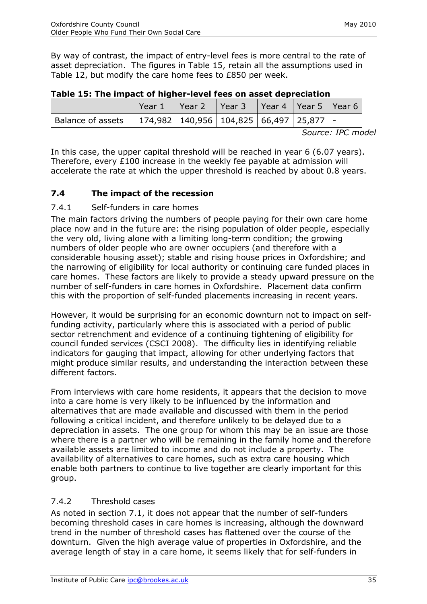By way of contrast, the impact of entry-level fees is more central to the rate of asset depreciation. The figures in Table 15, retain all the assumptions used in Table 12, but modify the care home fees to £850 per week.

|                                                                       | Year 1 | Year 2   Year 3   Year 4   Year 5   Year 6 |  |  |
|-----------------------------------------------------------------------|--------|--------------------------------------------|--|--|
| Balance of assets   174,982   140,956   104,825   66,497   25,877   - |        |                                            |  |  |

|  |  |  | Table 15: The impact of higher-level fees on asset depreciation |
|--|--|--|-----------------------------------------------------------------|
|--|--|--|-----------------------------------------------------------------|

*Source: IPC model*

In this case, the upper capital threshold will be reached in year 6 (6.07 years). Therefore, every £100 increase in the weekly fee payable at admission will accelerate the rate at which the upper threshold is reached by about 0.8 years.

# <span id="page-35-0"></span>**7.4 The impact of the recession**

## 7.4.1 Self-funders in care homes

The main factors driving the numbers of people paying for their own care home place now and in the future are: the rising population of older people, especially the very old, living alone with a limiting long-term condition; the growing numbers of older people who are owner occupiers (and therefore with a considerable housing asset); stable and rising house prices in Oxfordshire; and the narrowing of eligibility for local authority or continuing care funded places in care homes. These factors are likely to provide a steady upward pressure on the number of self-funders in care homes in Oxfordshire. Placement data confirm this with the proportion of self-funded placements increasing in recent years.

However, it would be surprising for an economic downturn not to impact on selffunding activity, particularly where this is associated with a period of public sector retrenchment and evidence of a continuing tightening of eligibility for council funded services (CSCI 2008). The difficulty lies in identifying reliable indicators for gauging that impact, allowing for other underlying factors that might produce similar results, and understanding the interaction between these different factors.

From interviews with care home residents, it appears that the decision to move into a care home is very likely to be influenced by the information and alternatives that are made available and discussed with them in the period following a critical incident, and therefore unlikely to be delayed due to a depreciation in assets. The one group for whom this may be an issue are those where there is a partner who will be remaining in the family home and therefore available assets are limited to income and do not include a property. The availability of alternatives to care homes, such as extra care housing which enable both partners to continue to live together are clearly important for this group.

## 7.4.2 Threshold cases

As noted in section 7.1, it does not appear that the number of self-funders becoming threshold cases in care homes is increasing, although the downward trend in the number of threshold cases has flattened over the course of the downturn. Given the high average value of properties in Oxfordshire, and the average length of stay in a care home, it seems likely that for self-funders in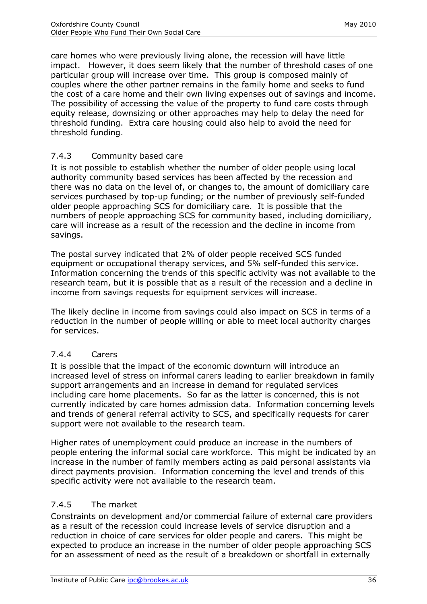care homes who were previously living alone, the recession will have little impact. However, it does seem likely that the number of threshold cases of one particular group will increase over time. This group is composed mainly of couples where the other partner remains in the family home and seeks to fund the cost of a care home and their own living expenses out of savings and income. The possibility of accessing the value of the property to fund care costs through equity release, downsizing or other approaches may help to delay the need for threshold funding. Extra care housing could also help to avoid the need for threshold funding.

# 7.4.3 Community based care

It is not possible to establish whether the number of older people using local authority community based services has been affected by the recession and there was no data on the level of, or changes to, the amount of domiciliary care services purchased by top-up funding; or the number of previously self-funded older people approaching SCS for domiciliary care. It is possible that the numbers of people approaching SCS for community based, including domiciliary, care will increase as a result of the recession and the decline in income from savings.

The postal survey indicated that 2% of older people received SCS funded equipment or occupational therapy services, and 5% self-funded this service. Information concerning the trends of this specific activity was not available to the research team, but it is possible that as a result of the recession and a decline in income from savings requests for equipment services will increase.

The likely decline in income from savings could also impact on SCS in terms of a reduction in the number of people willing or able to meet local authority charges for services.

## 7.4.4 Carers

It is possible that the impact of the economic downturn will introduce an increased level of stress on informal carers leading to earlier breakdown in family support arrangements and an increase in demand for regulated services including care home placements. So far as the latter is concerned, this is not currently indicated by care homes admission data. Information concerning levels and trends of general referral activity to SCS, and specifically requests for carer support were not available to the research team.

Higher rates of unemployment could produce an increase in the numbers of people entering the informal social care workforce. This might be indicated by an increase in the number of family members acting as paid personal assistants via direct payments provision. Information concerning the level and trends of this specific activity were not available to the research team.

## 7.4.5 The market

Constraints on development and/or commercial failure of external care providers as a result of the recession could increase levels of service disruption and a reduction in choice of care services for older people and carers. This might be expected to produce an increase in the number of older people approaching SCS for an assessment of need as the result of a breakdown or shortfall in externally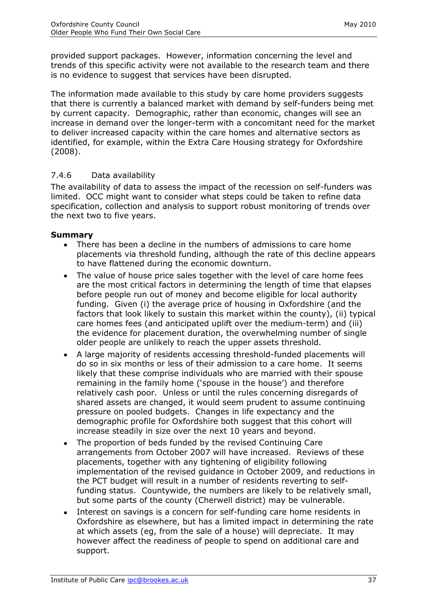provided support packages. However, information concerning the level and trends of this specific activity were not available to the research team and there is no evidence to suggest that services have been disrupted.

The information made available to this study by care home providers suggests that there is currently a balanced market with demand by self-funders being met by current capacity. Demographic, rather than economic, changes will see an increase in demand over the longer-term with a concomitant need for the market to deliver increased capacity within the care homes and alternative sectors as identified, for example, within the Extra Care Housing strategy for Oxfordshire (2008).

## 7.4.6 Data availability

The availability of data to assess the impact of the recession on self-funders was limited. OCC might want to consider what steps could be taken to refine data specification, collection and analysis to support robust monitoring of trends over the next two to five years.

#### **Summary**

- There has been a decline in the numbers of admissions to care home placements via threshold funding, although the rate of this decline appears to have flattened during the economic downturn.
- The value of house price sales together with the level of care home fees are the most critical factors in determining the length of time that elapses before people run out of money and become eligible for local authority funding. Given (i) the average price of housing in Oxfordshire (and the factors that look likely to sustain this market within the county), (ii) typical care homes fees (and anticipated uplift over the medium-term) and (iii) the evidence for placement duration, the overwhelming number of single older people are unlikely to reach the upper assets threshold.
- A large majority of residents accessing threshold-funded placements will  $\bullet$ do so in six months or less of their admission to a care home. It seems likely that these comprise individuals who are married with their spouse remaining in the family home ('spouse in the house') and therefore relatively cash poor. Unless or until the rules concerning disregards of shared assets are changed, it would seem prudent to assume continuing pressure on pooled budgets. Changes in life expectancy and the demographic profile for Oxfordshire both suggest that this cohort will increase steadily in size over the next 10 years and beyond.
- The proportion of beds funded by the revised Continuing Care arrangements from October 2007 will have increased. Reviews of these placements, together with any tightening of eligibility following implementation of the revised guidance in October 2009, and reductions in the PCT budget will result in a number of residents reverting to selffunding status. Countywide, the numbers are likely to be relatively small, but some parts of the county (Cherwell district) may be vulnerable.
- Interest on savings is a concern for self-funding care home residents in  $\bullet$ Oxfordshire as elsewhere, but has a limited impact in determining the rate at which assets (eg, from the sale of a house) will depreciate. It may however affect the readiness of people to spend on additional care and support.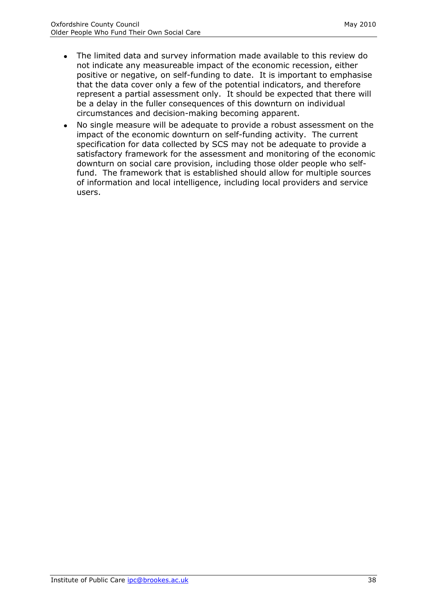- The limited data and survey information made available to this review do  $\bullet$ not indicate any measureable impact of the economic recession, either positive or negative, on self-funding to date. It is important to emphasise that the data cover only a few of the potential indicators, and therefore represent a partial assessment only. It should be expected that there will be a delay in the fuller consequences of this downturn on individual circumstances and decision-making becoming apparent.
- No single measure will be adequate to provide a robust assessment on the impact of the economic downturn on self-funding activity. The current specification for data collected by SCS may not be adequate to provide a satisfactory framework for the assessment and monitoring of the economic downturn on social care provision, including those older people who selffund. The framework that is established should allow for multiple sources of information and local intelligence, including local providers and service users.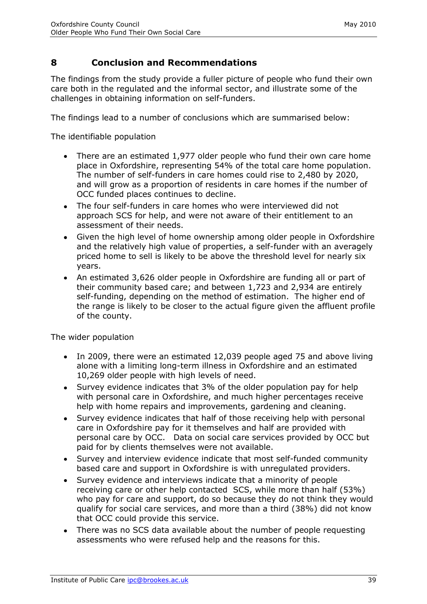# <span id="page-39-0"></span>**8 Conclusion and Recommendations**

The findings from the study provide a fuller picture of people who fund their own care both in the regulated and the informal sector, and illustrate some of the challenges in obtaining information on self-funders.

The findings lead to a number of conclusions which are summarised below:

The identifiable population

- There are an estimated 1,977 older people who fund their own care home place in Oxfordshire, representing 54% of the total care home population. The number of self-funders in care homes could rise to 2,480 by 2020, and will grow as a proportion of residents in care homes if the number of OCC funded places continues to decline.
- The four self-funders in care homes who were interviewed did not approach SCS for help, and were not aware of their entitlement to an assessment of their needs.
- Given the high level of home ownership among older people in Oxfordshire and the relatively high value of properties, a self-funder with an averagely priced home to sell is likely to be above the threshold level for nearly six years.
- An estimated 3,626 older people in Oxfordshire are funding all or part of their community based care; and between 1,723 and 2,934 are entirely self-funding, depending on the method of estimation. The higher end of the range is likely to be closer to the actual figure given the affluent profile of the county.

The wider population

- In 2009, there were an estimated 12,039 people aged 75 and above living alone with a limiting long-term illness in Oxfordshire and an estimated 10,269 older people with high levels of need.
- Survey evidence indicates that 3% of the older population pay for help with personal care in Oxfordshire, and much higher percentages receive help with home repairs and improvements, gardening and cleaning.
- Survey evidence indicates that half of those receiving help with personal care in Oxfordshire pay for it themselves and half are provided with personal care by OCC. Data on social care services provided by OCC but paid for by clients themselves were not available.
- Survey and interview evidence indicate that most self-funded community based care and support in Oxfordshire is with unregulated providers.
- Survey evidence and interviews indicate that a minority of people receiving care or other help contacted SCS, while more than half (53%) who pay for care and support, do so because they do not think they would qualify for social care services, and more than a third (38%) did not know that OCC could provide this service.
- There was no SCS data available about the number of people requesting assessments who were refused help and the reasons for this.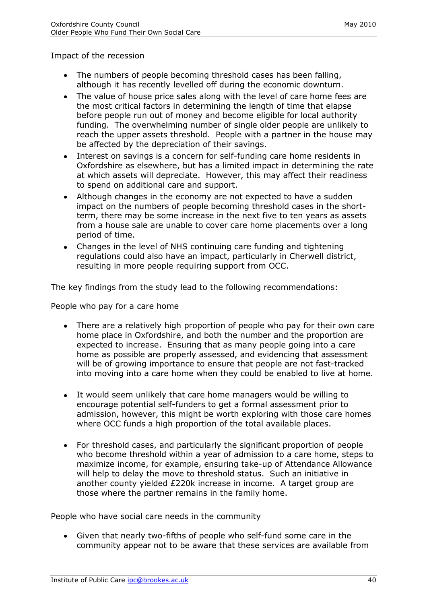Impact of the recession

- The numbers of people becoming threshold cases has been falling, although it has recently levelled off during the economic downturn.
- The value of house price sales along with the level of care home fees are the most critical factors in determining the length of time that elapse before people run out of money and become eligible for local authority funding. The overwhelming number of single older people are unlikely to reach the upper assets threshold. People with a partner in the house may be affected by the depreciation of their savings.
- Interest on savings is a concern for self-funding care home residents in  $\bullet$ Oxfordshire as elsewhere, but has a limited impact in determining the rate at which assets will depreciate. However, this may affect their readiness to spend on additional care and support.
- Although changes in the economy are not expected to have a sudden impact on the numbers of people becoming threshold cases in the shortterm, there may be some increase in the next five to ten years as assets from a house sale are unable to cover care home placements over a long period of time.
- Changes in the level of NHS continuing care funding and tightening regulations could also have an impact, particularly in Cherwell district, resulting in more people requiring support from OCC.

The key findings from the study lead to the following recommendations:

People who pay for a care home

- There are a relatively high proportion of people who pay for their own care home place in Oxfordshire, and both the number and the proportion are expected to increase. Ensuring that as many people going into a care home as possible are properly assessed, and evidencing that assessment will be of growing importance to ensure that people are not fast-tracked into moving into a care home when they could be enabled to live at home.
- It would seem unlikely that care home managers would be willing to encourage potential self-funders to get a formal assessment prior to admission, however, this might be worth exploring with those care homes where OCC funds a high proportion of the total available places.
- For threshold cases, and particularly the significant proportion of people  $\bullet$ who become threshold within a year of admission to a care home, steps to maximize income, for example, ensuring take-up of Attendance Allowance will help to delay the move to threshold status. Such an initiative in another county yielded £220k increase in income. A target group are those where the partner remains in the family home.

People who have social care needs in the community

Given that nearly two-fifths of people who self-fund some care in the community appear not to be aware that these services are available from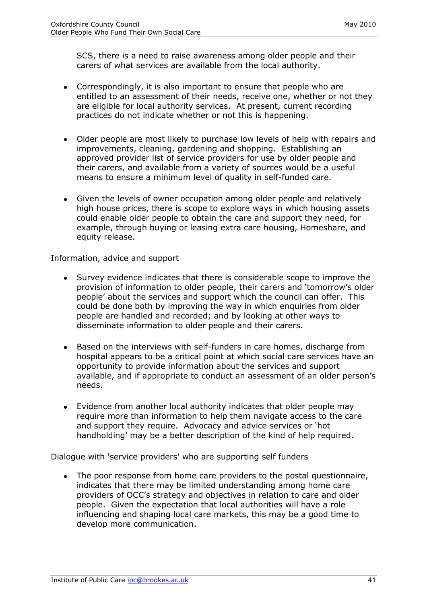SCS, there is a need to raise awareness among older people and their carers of what services are available from the local authority.

- Correspondingly, it is also important to ensure that people who are entitled to an assessment of their needs, receive one, whether or not they are eligible for local authority services. At present, current recording practices do not indicate whether or not this is happening.
- Older people are most likely to purchase low levels of help with repairs and improvements, cleaning, gardening and shopping. Establishing an approved provider list of service providers for use by older people and their carers, and available from a variety of sources would be a useful means to ensure a minimum level of quality in self-funded care.
- Given the levels of owner occupation among older people and relatively high house prices, there is scope to explore ways in which housing assets could enable older people to obtain the care and support they need, for example, through buying or leasing extra care housing, Homeshare, and equity release.

Information, advice and support

- Survey evidence indicates that there is considerable scope to improve the provision of information to older people, their carers and 'tomorrow's older people' about the services and support which the council can offer. This could be done both by improving the way in which enquiries from older people are handled and recorded; and by looking at other ways to disseminate information to older people and their carers.
- Based on the interviews with self-funders in care homes, discharge from hospital appears to be a critical point at which social care services have an opportunity to provide information about the services and support available, and if appropriate to conduct an assessment of an older person's needs.
- Evidence from another local authority indicates that older people may require more than information to help them navigate access to the care and support they require. Advocacy and advice services or 'hot handholding' may be a better description of the kind of help required.

Dialogue with 'service providers' who are supporting self funders

The poor response from home care providers to the postal questionnaire, indicates that there may be limited understanding among home care providers of OCC's strategy and objectives in relation to care and older people. Given the expectation that local authorities will have a role influencing and shaping local care markets, this may be a good time to develop more communication.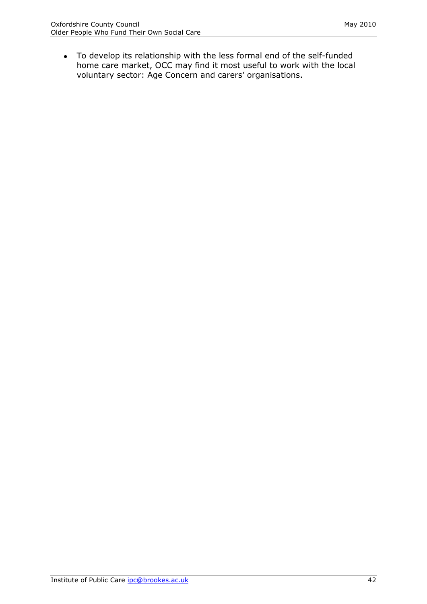To develop its relationship with the less formal end of the self-funded home care market, OCC may find it most useful to work with the local voluntary sector: Age Concern and carers' organisations.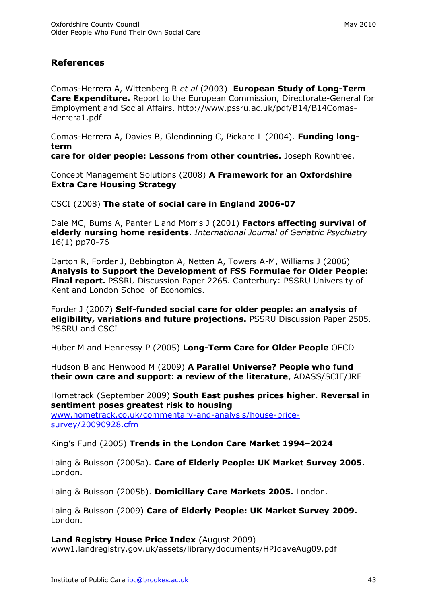# <span id="page-43-0"></span>**References**

Comas-Herrera A, Wittenberg R *et al* (2003) **European Study of Long-Term Care Expenditure.** Report to the European Commission, Directorate-General for Employment and Social Affairs. http://www.pssru.ac.uk/pdf/B14/B14Comas-Herrera1.pdf

Comas-Herrera A, Davies B, Glendinning C, Pickard L (2004). **Funding longterm** 

**care for older people: Lessons from other countries.** Joseph Rowntree.

Concept Management Solutions (2008) **A Framework for an Oxfordshire Extra Care Housing Strategy** 

CSCI (2008) **The state of social care in England 2006-07**

Dale MC, Burns A, Panter L and Morris J (2001) **Factors affecting survival of elderly nursing home residents.** *International Journal of Geriatric Psychiatry* 16(1) pp70-76

Darton R, Forder J, Bebbington A, Netten A, Towers A-M, Williams J (2006) **Analysis to Support the Development of FSS Formulae for Older People: Final report.** PSSRU Discussion Paper 2265. Canterbury: PSSRU University of Kent and London School of Economics.

Forder J (2007) **Self-funded social care for older people: an analysis of eligibility, variations and future projections.** PSSRU Discussion Paper 2505. PSSRU and CSCI

Huber M and Hennessy P (2005) **Long-Term Care for Older People** OECD

Hudson B and Henwood M (2009) **A Parallel Universe? People who fund their own care and support: a review of the literature**, ADASS/SCIE/JRF

Hometrack (September 2009) **South East pushes prices higher. Reversal in sentiment poses greatest risk to housing**

[www.hometrack.co.uk/commentary-and-analysis/house-price](http://www.hometrack.co.uk/commentary-and-analysis/house-price-survey/20090928.cfm)[survey/20090928.cfm](http://www.hometrack.co.uk/commentary-and-analysis/house-price-survey/20090928.cfm)

King's Fund (2005) **Trends in the London Care Market 1994–2024** 

Laing & Buisson (2005a). **Care of Elderly People: UK Market Survey 2005.** London.

Laing & Buisson (2005b). **Domiciliary Care Markets 2005.** London.

Laing & Buisson (2009) **Care of Elderly People: UK Market Survey 2009.** London.

**Land Registry House Price Index** (August 2009) www1.landregistry.gov.uk/assets/library/documents/HPIdaveAug09.pdf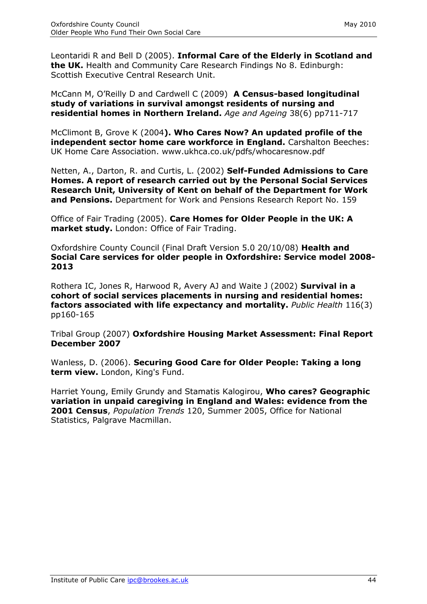Leontaridi R and Bell D (2005). **Informal Care of the Elderly in Scotland and the UK.** Health and Community Care Research Findings No 8. Edinburgh: Scottish Executive Central Research Unit.

McCann M, O'Reilly D and Cardwell C (2009) **A Census-based longitudinal study of variations in survival amongst residents of nursing and residential homes in Northern Ireland.** *Age and Ageing* 38(6) pp711-717

McClimont B, Grove K (2004**). Who Cares Now? An updated profile of the independent sector home care workforce in England.** Carshalton Beeches: UK Home Care Association. www.ukhca.co.uk/pdfs/whocaresnow.pdf

Netten, A., Darton, R. and Curtis, L. (2002) **Self-Funded Admissions to Care Homes. A report of research carried out by the Personal Social Services Research Unit, University of Kent on behalf of the Department for Work and Pensions.** Department for Work and Pensions Research Report No. 159

Office of Fair Trading (2005). **Care Homes for Older People in the UK: A market study.** London: Office of Fair Trading.

Oxfordshire County Council (Final Draft Version 5.0 20/10/08) **Health and Social Care services for older people in Oxfordshire: Service model 2008- 2013**

Rothera IC, Jones R, Harwood R, Avery AJ and Waite J (2002) **Survival in a cohort of social services placements in nursing and residential homes: factors associated with life expectancy and mortality.** *Public Health* 116(3) pp160-165

Tribal Group (2007) **Oxfordshire Housing Market Assessment: Final Report December 2007**

Wanless, D. (2006). **Securing Good Care for Older People: Taking a long term view.** London, King's Fund.

Harriet Young, Emily Grundy and Stamatis Kalogirou, **Who cares? Geographic variation in unpaid caregiving in England and Wales: evidence from the 2001 Census**, *Population Trends* 120, Summer 2005, Office for National Statistics, Palgrave Macmillan.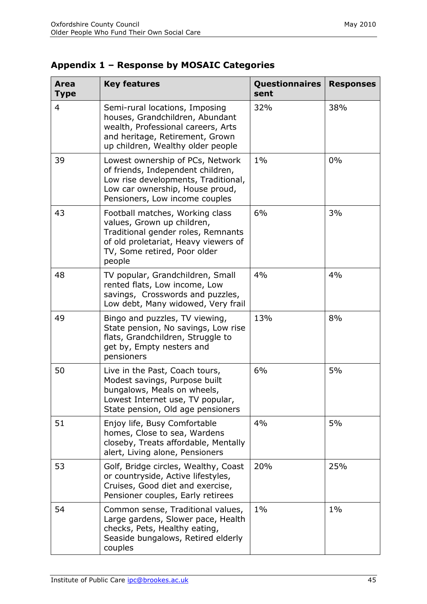<span id="page-45-0"></span>

| Appendix 1 - Response by MOSAIC Categories |  |  |  |
|--------------------------------------------|--|--|--|
|--------------------------------------------|--|--|--|

| Area<br><b>Type</b> | <b>Key features</b>                                                                                                                                                                   | <b>Questionnaires</b><br>sent | <b>Responses</b> |
|---------------------|---------------------------------------------------------------------------------------------------------------------------------------------------------------------------------------|-------------------------------|------------------|
| 4                   | Semi-rural locations, Imposing<br>houses, Grandchildren, Abundant<br>wealth, Professional careers, Arts<br>and heritage, Retirement, Grown<br>up children, Wealthy older people       | 32%                           | 38%              |
| 39                  | Lowest ownership of PCs, Network<br>of friends, Independent children,<br>Low rise developments, Traditional,<br>Low car ownership, House proud,<br>Pensioners, Low income couples     | $1\%$                         | 0%               |
| 43                  | Football matches, Working class<br>values, Grown up children,<br>Traditional gender roles, Remnants<br>of old proletariat, Heavy viewers of<br>TV, Some retired, Poor older<br>people | 6%                            | 3%               |
| 48                  | TV popular, Grandchildren, Small<br>rented flats, Low income, Low<br>savings, Crosswords and puzzles,<br>Low debt, Many widowed, Very frail                                           | 4%                            | 4%               |
| 49                  | Bingo and puzzles, TV viewing,<br>State pension, No savings, Low rise<br>flats, Grandchildren, Struggle to<br>get by, Empty nesters and<br>pensioners                                 | 13%                           | 8%               |
| 50                  | Live in the Past, Coach tours,<br>Modest savings, Purpose built<br>bungalows, Meals on wheels,<br>Lowest Internet use, TV popular,<br>State pension, Old age pensioners               | 6%                            | 5%               |
| 51                  | Enjoy life, Busy Comfortable<br>homes, Close to sea, Wardens<br>closeby, Treats affordable, Mentally<br>alert, Living alone, Pensioners                                               | 4%                            | 5%               |
| 53                  | Golf, Bridge circles, Wealthy, Coast<br>or countryside, Active lifestyles,<br>Cruises, Good diet and exercise,<br>Pensioner couples, Early retirees                                   | 20%                           | 25%              |
| 54                  | Common sense, Traditional values,<br>Large gardens, Slower pace, Health<br>checks, Pets, Healthy eating,<br>Seaside bungalows, Retired elderly<br>couples                             | $1\%$                         | $1\%$            |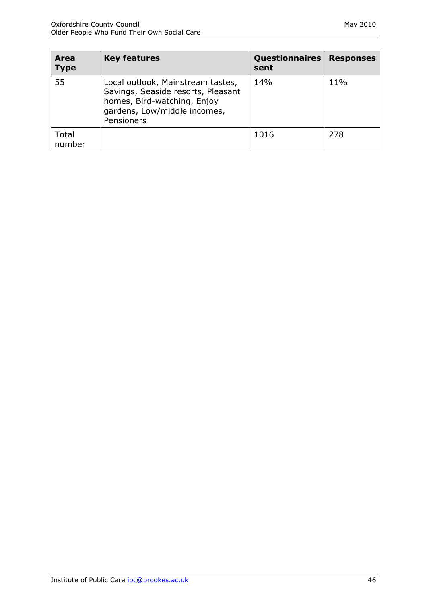| Area<br><b>Type</b> | <b>Key features</b>                                                                                                                                  | <b>Questionnaires</b><br>sent | <b>Responses</b> |
|---------------------|------------------------------------------------------------------------------------------------------------------------------------------------------|-------------------------------|------------------|
| 55                  | Local outlook, Mainstream tastes,<br>Savings, Seaside resorts, Pleasant<br>homes, Bird-watching, Enjoy<br>gardens, Low/middle incomes,<br>Pensioners | 14%                           | 11%              |
| Total<br>number     |                                                                                                                                                      | 1016                          | 278              |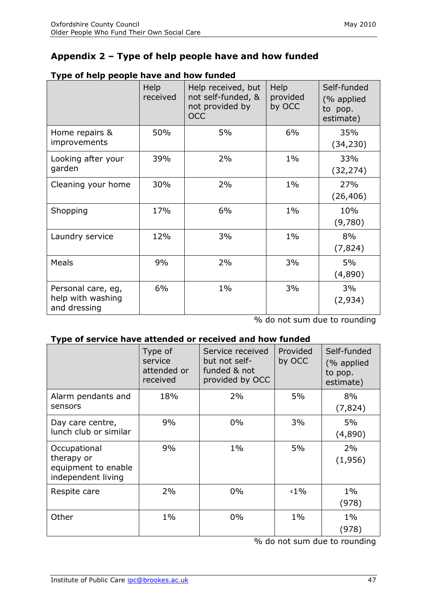# <span id="page-47-0"></span>**Appendix 2 – Type of help people have and how funded**

|                                                         | Help<br>received | Help received, but<br>not self-funded, &<br>not provided by<br><b>OCC</b> | Help<br>provided<br>by OCC | Self-funded<br>(% applied<br>to pop.<br>estimate) |
|---------------------------------------------------------|------------------|---------------------------------------------------------------------------|----------------------------|---------------------------------------------------|
| Home repairs &<br>improvements                          | 50%              | 5%                                                                        | 6%                         | 35%<br>(34, 230)                                  |
| Looking after your<br>garden                            | 39%              | 2%                                                                        | $1\%$                      | 33%<br>(32, 274)                                  |
| Cleaning your home                                      | 30%              | 2%                                                                        | $1\%$                      | 27%<br>(26, 406)                                  |
| Shopping                                                | 17%              | 6%                                                                        | $1\%$                      | 10%<br>(9,780)                                    |
| Laundry service                                         | 12%              | 3%                                                                        | $1\%$                      | 8%<br>(7,824)                                     |
| Meals                                                   | 9%               | 2%                                                                        | 3%                         | 5%<br>(4,890)                                     |
| Personal care, eg,<br>help with washing<br>and dressing | 6%               | $1\%$                                                                     | 3%                         | 3%<br>(2,934)                                     |

#### **Type of help people have and how funded**

% do not sum due to rounding

#### **Type of service have attended or received and how funded**

|                                                                         | Type of<br>service<br>attended or<br>received | Service received<br>but not self-<br>funded & not<br>provided by OCC | Provided<br>by OCC | Self-funded<br>(% applied<br>to pop.<br>estimate) |
|-------------------------------------------------------------------------|-----------------------------------------------|----------------------------------------------------------------------|--------------------|---------------------------------------------------|
| Alarm pendants and<br>sensors                                           | 18%                                           | 2%                                                                   | 5%                 | 8%<br>(7, 824)                                    |
| Day care centre,<br>lunch club or similar                               | 9%                                            | $0\%$                                                                | 3%                 | 5%<br>(4,890)                                     |
| Occupational<br>therapy or<br>equipment to enable<br>independent living | 9%                                            | $1\%$                                                                | 5%                 | 2%<br>(1,956)                                     |
| Respite care                                                            | 2%                                            | $0\%$                                                                | $<1\%$             | $1\%$<br>(978)                                    |
| Other                                                                   | $1\%$                                         | $0\%$                                                                | $1\%$              | $1\%$<br>(978)                                    |

% do not sum due to rounding